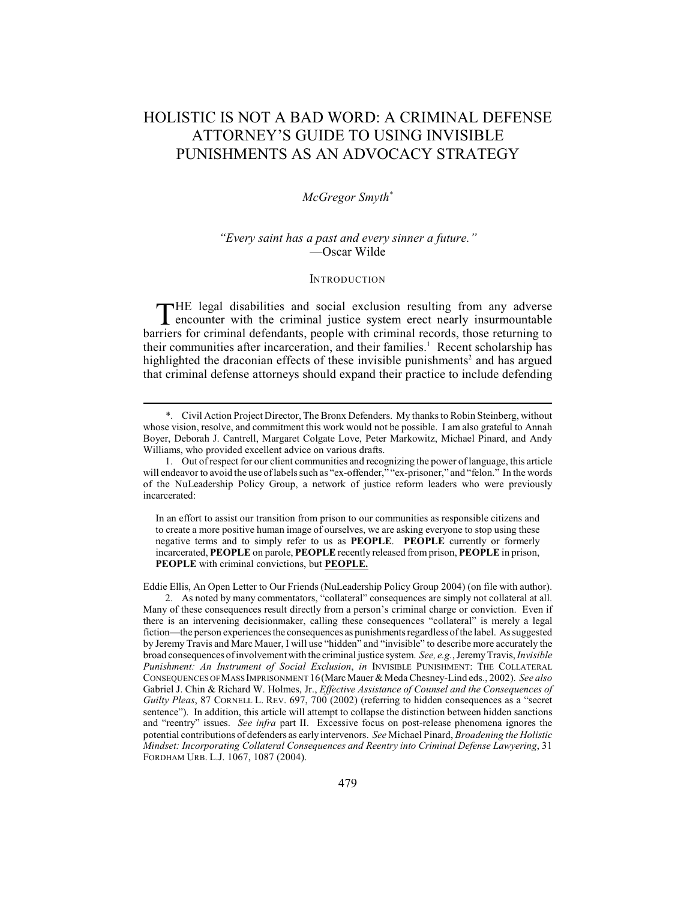# HOLISTIC IS NOT A BAD WORD: A CRIMINAL DEFENSE ATTORNEY'S GUIDE TO USING INVISIBLE PUNISHMENTS AS AN ADVOCACY STRATEGY

# *McGregor Smyth \**

# *"Every saint has a past and every sinner a future."* —Oscar Wilde

#### **INTRODUCTION**

THE legal disabilities and social exclusion resulting from any adverse<br>encounter with the criminal justice system erect nearly insurmountable<br>major for existing defendants assett with existing accords these attention to encounter with the criminal justice system erect nearly insurmountable barriers for criminal defendants, people with criminal records, those returning to their communities after incarceration, and their families.<sup>1</sup> Recent scholarship has highlighted the draconian effects of these invisible punishments<sup>2</sup> and has argued that criminal defense attorneys should expand their practice to include defending

In an effort to assist our transition from prison to our communities as responsible citizens and to create a more positive human image of ourselves, we are asking everyone to stop using these negative terms and to simply refer to us as **PEOPLE**. **PEOPLE** currently or formerly incarcerated, **PEOPLE** on parole, **PEOPLE** recently released from prison, **PEOPLE** in prison, **PEOPLE** with criminal convictions, but **PEOPLE.**

Eddie Ellis, An Open Letter to Our Friends (NuLeadership Policy Group 2004) (on file with author).

<sup>\*.</sup> Civil Action Project Director, The Bronx Defenders. My thanks to Robin Steinberg, without whose vision, resolve, and commitment this work would not be possible. I am also grateful to Annah Boyer, Deborah J. Cantrell, Margaret Colgate Love, Peter Markowitz, Michael Pinard, and Andy Williams, who provided excellent advice on various drafts.

<sup>1.</sup> Out of respect for our client communities and recognizing the power of language, this article will endeavor to avoid the use of labels such as "ex-offender," "ex-prisoner," and "felon." In the words of the NuLeadership Policy Group, a network of justice reform leaders who were previously incarcerated:

<sup>2.</sup> As noted by many commentators, "collateral" consequences are simply not collateral at all. Many of these consequences result directly from a person's criminal charge or conviction. Even if there is an intervening decisionmaker, calling these consequences "collateral" is merely a legal fiction—the person experiences the consequences as punishments regardless of the label. As suggested by Jeremy Travis and Marc Mauer, I will use "hidden" and "invisible" to describe more accurately the broad consequences of involvement with the criminal justice system. *See, e.g.*, Jeremy Travis, *Invisible Punishment: An Instrument of Social Exclusion*, *in* INVISIBLE PUNISHMENT: THE COLLATERAL CONSEQUENCES OF MASS IMPRISONMENT 16(Marc Mauer & Meda Chesney-Lind eds., 2002). *See also* Gabriel J. Chin & Richard W. Holmes, Jr., *Effective Assistance of Counsel and the Consequences of Guilty Pleas*, 87 CORNELL L. REV. 697, 700 (2002) (referring to hidden consequences as a "secret sentence"). In addition, this article will attempt to collapse the distinction between hidden sanctions and "reentry" issues. *See infra* part II. Excessive focus on post-release phenomena ignores the potential contributions of defenders as early intervenors. *See* Michael Pinard, *Broadening the Holistic Mindset: Incorporating Collateral Consequences and Reentry into Criminal Defense Lawyering*, 31 FORDHAM URB. L.J. 1067, 1087 (2004).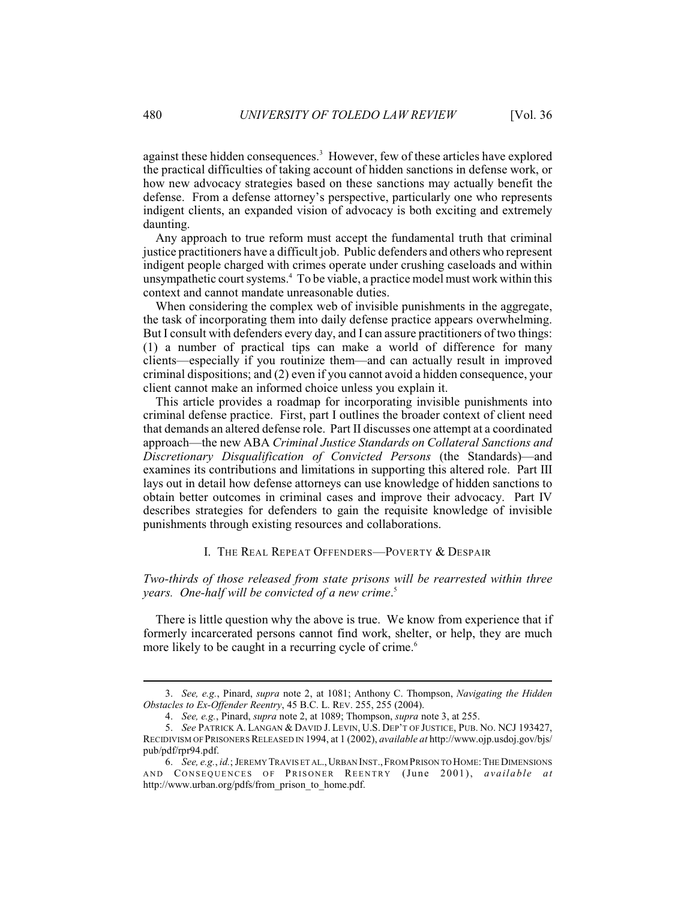against these hidden consequences.<sup>3</sup> However, few of these articles have explored the practical difficulties of taking account of hidden sanctions in defense work, or how new advocacy strategies based on these sanctions may actually benefit the defense. From a defense attorney's perspective, particularly one who represents indigent clients, an expanded vision of advocacy is both exciting and extremely daunting.

Any approach to true reform must accept the fundamental truth that criminal justice practitioners have a difficult job. Public defenders and others who represent indigent people charged with crimes operate under crushing caseloads and within unsympathetic court systems.<sup>4</sup> To be viable, a practice model must work within this context and cannot mandate unreasonable duties.

When considering the complex web of invisible punishments in the aggregate, the task of incorporating them into daily defense practice appears overwhelming. But I consult with defenders every day, and I can assure practitioners of two things: (1) a number of practical tips can make a world of difference for many clients—especially if you routinize them—and can actually result in improved criminal dispositions; and (2) even if you cannot avoid a hidden consequence, your client cannot make an informed choice unless you explain it.

This article provides a roadmap for incorporating invisible punishments into criminal defense practice. First, part I outlines the broader context of client need that demands an altered defense role. Part II discusses one attempt at a coordinated approach—the new ABA *Criminal Justice Standards on Collateral Sanctions and Discretionary Disqualification of Convicted Persons* (the Standards)—and examines its contributions and limitations in supporting this altered role. Part III lays out in detail how defense attorneys can use knowledge of hidden sanctions to obtain better outcomes in criminal cases and improve their advocacy. Part IV describes strategies for defenders to gain the requisite knowledge of invisible punishments through existing resources and collaborations.

#### I. THE REAL REPEAT OFFENDERS—POVERTY & DESPAIR

# *Two-thirds of those released from state prisons will be rearrested within three years. One-half will be convicted of a new crime*. 5

There is little question why the above is true. We know from experience that if formerly incarcerated persons cannot find work, shelter, or help, they are much more likely to be caught in a recurring cycle of crime.<sup>6</sup>

<sup>3.</sup> *See, e.g.*, Pinard, *supra* note 2, at 1081; Anthony C. Thompson, *Navigating the Hidden Obstacles to Ex-Offender Reentry*, 45 B.C. L. REV. 255, 255 (2004).

<sup>4.</sup> *See, e.g.*, Pinard, *supra* note 2, at 1089; Thompson, *supra* note 3, at 255.

<sup>5.</sup> *See* PATRICK A. LANGAN & DAVID J. LEVIN, U.S. DEP'T OF JUSTICE, PUB. NO. NCJ 193427, RECIDIVISM OF PRISONERS RELEASED IN 1994, at 1 (2002), *available at* http://www.ojp.usdoj.gov/bjs/ pub/pdf/rpr94.pdf.

<sup>6.</sup> *See, e.g.*, *id.*; JEREMY TRAVIS ET AL.,URBAN INST.,FROM PRISON TO HOME:THE DIMENSIONS AND CONSEQUENCES OF PRISONER REENTRY (June 2001), *available at* http://www.urban.org/pdfs/from\_prison\_to\_home.pdf.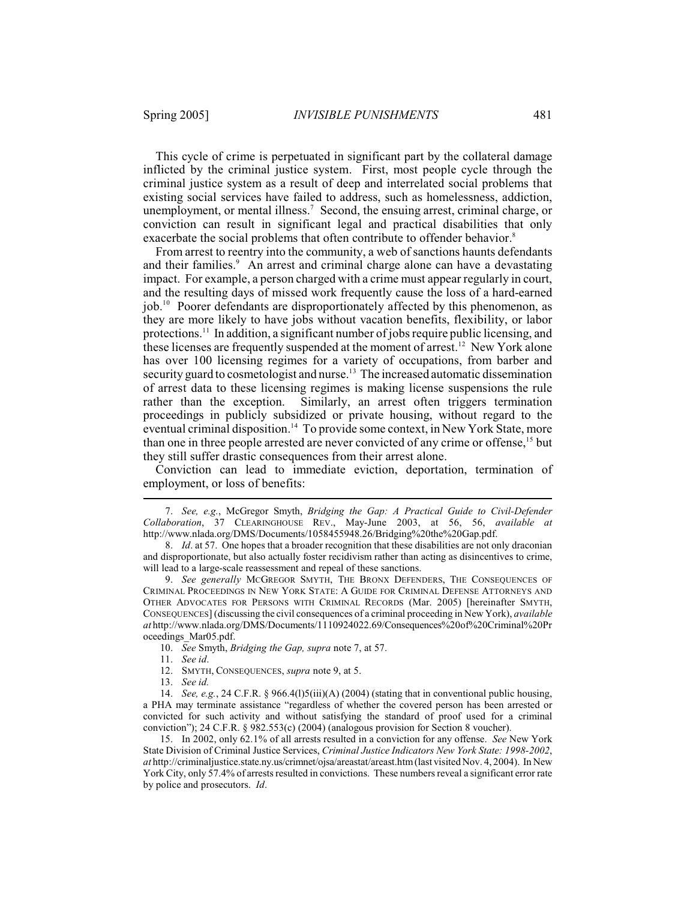This cycle of crime is perpetuated in significant part by the collateral damage inflicted by the criminal justice system. First, most people cycle through the criminal justice system as a result of deep and interrelated social problems that existing social services have failed to address, such as homelessness, addiction, unemployment, or mental illness.<sup>7</sup> Second, the ensuing arrest, criminal charge, or conviction can result in significant legal and practical disabilities that only exacerbate the social problems that often contribute to offender behavior.<sup>8</sup>

From arrest to reentry into the community, a web of sanctions haunts defendants and their families.<sup>9</sup> An arrest and criminal charge alone can have a devastating impact. For example, a person charged with a crime must appear regularly in court, and the resulting days of missed work frequently cause the loss of a hard-earned job.<sup>10</sup> Poorer defendants are disproportionately affected by this phenomenon, as they are more likely to have jobs without vacation benefits, flexibility, or labor protections.<sup>11</sup> In addition, a significant number of jobs require public licensing, and these licenses are frequently suspended at the moment of arrest.<sup>12</sup> New York alone has over 100 licensing regimes for a variety of occupations, from barber and security guard to cosmetologist and nurse.<sup>13</sup> The increased automatic dissemination of arrest data to these licensing regimes is making license suspensions the rule rather than the exception. Similarly, an arrest often triggers termination proceedings in publicly subsidized or private housing, without regard to the eventual criminal disposition.<sup>14</sup> To provide some context, in New York State, more than one in three people arrested are never convicted of any crime or offense,<sup>15</sup> but they still suffer drastic consequences from their arrest alone.

Conviction can lead to immediate eviction, deportation, termination of employment, or loss of benefits:

13. *See id.*

14. *See, e.g.*, 24 C.F.R. § 966.4(l)5(iii)(A) (2004) (stating that in conventional public housing, a PHA may terminate assistance "regardless of whether the covered person has been arrested or convicted for such activity and without satisfying the standard of proof used for a criminal conviction"); 24 C.F.R. § 982.553(c) (2004) (analogous provision for Section 8 voucher).

15. In 2002, only 62.1% of all arrests resulted in a conviction for any offense. *See* New York State Division of Criminal Justice Services, *Criminal Justice Indicators New York State: 1998-2002*, *at* http://criminaljustice.state.ny.us/crimnet/ojsa/areastat/areast.htm (last visited Nov. 4, 2004). In New York City, only 57.4% of arrests resulted in convictions. These numbers reveal a significant error rate by police and prosecutors. *Id*.

<sup>7.</sup> *See, e.g.*, McGregor Smyth, *Bridging the Gap: A Practical Guide to Civil-Defender Collaboration*, 37 CLEARINGHOUSE REV., May-June 2003, at 56, 56, *available at* http://www.nlada.org/DMS/Documents/1058455948.26/Bridging%20the%20Gap.pdf.

<sup>8.</sup> *Id*. at 57. One hopes that a broader recognition that these disabilities are not only draconian and disproportionate, but also actually foster recidivism rather than acting as disincentives to crime, will lead to a large-scale reassessment and repeal of these sanctions.

<sup>9.</sup> *See generally* MCGREGOR SMYTH, THE BRONX DEFENDERS, THE CONSEQUENCES OF CRIMINAL PROCEEDINGS IN NEW YORK STATE: A GUIDE FOR CRIMINAL DEFENSE ATTORNEYS AND OTHER ADVOCATES FOR PERSONS WITH CRIMINAL RECORDS (Mar. 2005) [hereinafter SMYTH, CONSEQUENCES] (discussing the civil consequences of a criminal proceeding in New York), *available at* http://www.nlada.org/DMS/Documents/1110924022.69/Consequences%20of%20Criminal%20Pr oceedings\_Mar05.pdf.

<sup>10.</sup> *See* Smyth, *Bridging the Gap, supra* note 7, at 57.

<sup>11.</sup> *See id*.

<sup>12.</sup> SMYTH, CONSEQUENCES, *supra* note 9, at 5.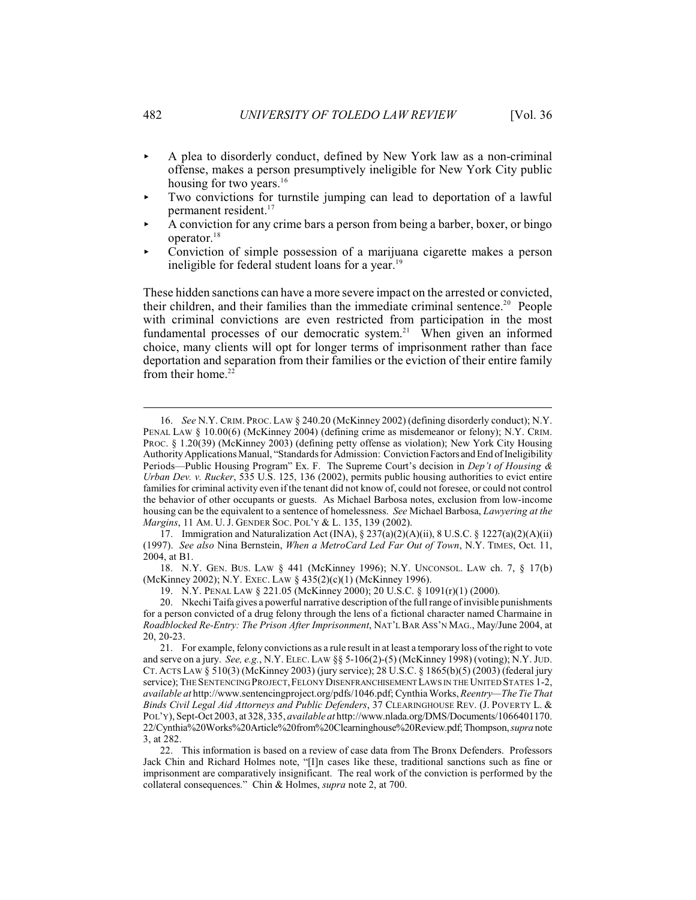- < A plea to disorderly conduct, defined by New York law as a non-criminal offense, makes a person presumptively ineligible for New York City public housing for two years.<sup>16</sup>
- $\blacktriangleright$  Two convictions for turnstile jumping can lead to deportation of a lawful permanent resident.<sup>17</sup>
- < A conviction for any crime bars a person from being a barber, boxer, or bingo operator.<sup>18</sup>
- < Conviction of simple possession of a marijuana cigarette makes a person ineligible for federal student loans for a year.<sup>19</sup>

These hidden sanctions can have a more severe impact on the arrested or convicted, their children, and their families than the immediate criminal sentence.<sup>20</sup> People with criminal convictions are even restricted from participation in the most fundamental processes of our democratic system.<sup>21</sup> When given an informed choice, many clients will opt for longer terms of imprisonment rather than face deportation and separation from their families or the eviction of their entire family from their home. $22$ 

18. N.Y. GEN. BUS. LAW § 441 (McKinney 1996); N.Y. UNCONSOL. LAW ch. 7, § 17(b) (McKinney 2002); N.Y. EXEC. LAW § 435(2)(c)(1) (McKinney 1996).

19. N.Y. PENAL LAW § 221.05 (McKinney 2000); 20 U.S.C. § 1091(r)(1) (2000).

<sup>16.</sup> *See* N.Y. CRIM. PROC. LAW § 240.20 (McKinney 2002) (defining disorderly conduct); N.Y. PENAL LAW § 10.00(6) (McKinney 2004) (defining crime as misdemeanor or felony); N.Y. CRIM. PROC. § 1.20(39) (McKinney 2003) (defining petty offense as violation); New York City Housing Authority Applications Manual, "Standards for Admission: Conviction Factors and End of Ineligibility Periods—Public Housing Program" Ex. F. The Supreme Court's decision in *Dep't of Housing & Urban Dev. v. Rucker*, 535 U.S. 125, 136 (2002), permits public housing authorities to evict entire families for criminal activity even if the tenant did not know of, could not foresee, or could not control the behavior of other occupants or guests. As Michael Barbosa notes, exclusion from low-income housing can be the equivalent to a sentence of homelessness. *See* Michael Barbosa, *Lawyering at the Margins*, 11 AM. U. J. GENDER SOC. POL'Y & L. 135, 139 (2002).

<sup>17.</sup> Immigration and Naturalization Act (INA), § 237(a)(2)(A)(ii), 8 U.S.C. § 1227(a)(2)(A)(ii) (1997). *See also* Nina Bernstein, *When a MetroCard Led Far Out of Town*, N.Y. TIMES, Oct. 11, 2004, at B1.

<sup>20.</sup> Nkechi Taifa gives a powerful narrative description of the full range of invisible punishments for a person convicted of a drug felony through the lens of a fictional character named Charmaine in *Roadblocked Re-Entry: The Prison After Imprisonment*, NAT'L BAR ASS'N MAG., May/June 2004, at 20, 20-23.

<sup>21.</sup> For example, felony convictions as a rule result in at least a temporary loss of the right to vote and serve on a jury. *See, e.g.*, N.Y. ELEC.LAW §§ 5-106(2)-(5) (McKinney 1998) (voting); N.Y. JUD. CT. ACTS LAW § 510(3) (McKinney 2003) (jury service); 28 U.S.C. § 1865(b)(5) (2003) (federal jury service); THE SENTENCING PROJECT, FELONY DISENFRANCHISEMENT LAWS IN THE UNITED STATES 1-2, *available at* http://www.sentencingproject.org/pdfs/1046.pdf; Cynthia Works, *Reentry—The Tie That Binds Civil Legal Aid Attorneys and Public Defenders*, 37 CLEARINGHOUSE REV. (J. POVERTY L. & POL'Y), Sept-Oct 2003, at 328, 335, *available at* http://www.nlada.org/DMS/Documents/1066401170. 22/Cynthia%20Works%20Article%20from%20Clearninghouse%20Review.pdf; Thompson,*supra* note 3, at 282.

<sup>22.</sup> This information is based on a review of case data from The Bronx Defenders. Professors Jack Chin and Richard Holmes note, "[I]n cases like these, traditional sanctions such as fine or imprisonment are comparatively insignificant. The real work of the conviction is performed by the collateral consequences." Chin & Holmes, *supra* note 2, at 700.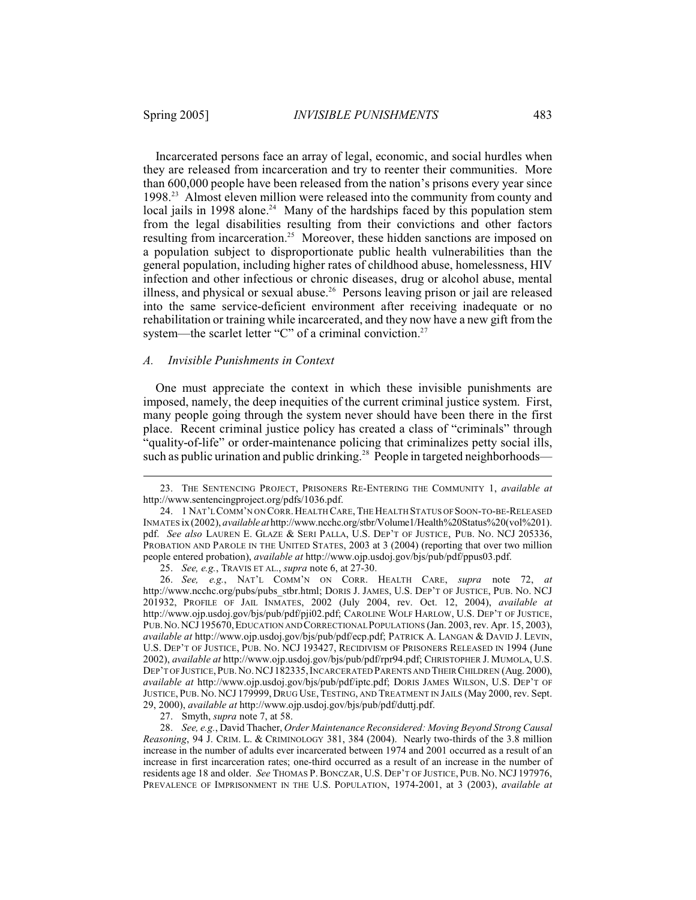Incarcerated persons face an array of legal, economic, and social hurdles when they are released from incarceration and try to reenter their communities. More than 600,000 people have been released from the nation's prisons every year since 1998<sup>23</sup> Almost eleven million were released into the community from county and local jails in 1998 alone.<sup>24</sup> Many of the hardships faced by this population stem from the legal disabilities resulting from their convictions and other factors resulting from incarceration.<sup>25</sup> Moreover, these hidden sanctions are imposed on a population subject to disproportionate public health vulnerabilities than the general population, including higher rates of childhood abuse, homelessness, HIV infection and other infectious or chronic diseases, drug or alcohol abuse, mental illness, and physical or sexual abuse.<sup>26</sup> Persons leaving prison or jail are released into the same service-deficient environment after receiving inadequate or no rehabilitation or training while incarcerated, and they now have a new gift from the system—the scarlet letter "C" of a criminal conviction.<sup>27</sup>

#### *A. Invisible Punishments in Context*

One must appreciate the context in which these invisible punishments are imposed, namely, the deep inequities of the current criminal justice system. First, many people going through the system never should have been there in the first place. Recent criminal justice policy has created a class of "criminals" through "quality-of-life" or order-maintenance policing that criminalizes petty social ills, such as public urination and public drinking.<sup>28</sup> People in targeted neighborhoods—

<sup>23.</sup> THE SENTENCING PROJECT, PRISONERS RE-ENTERING THE COMMUNITY 1, *available at* http://www.sentencingproject.org/pdfs/1036.pdf.

<sup>24.</sup> 1 NAT'L COMM'N ON CORR.HEALTH CARE,THE HEALTH STATUS OF SOON-TO-BE-RELEASED INMATES ix (2002), *available at* http://www.ncchc.org/stbr/Volume1/Health%20Status%20(vol%201). pdf. *See also* LAUREN E. GLAZE & SERI PALLA, U.S. DEP'T OF JUSTICE, PUB. NO. NCJ 205336, PROBATION AND PAROLE IN THE UNITED STATES, 2003 at 3 (2004) (reporting that over two million people entered probation), *available at* http://www.ojp.usdoj.gov/bjs/pub/pdf/ppus03.pdf.

<sup>25.</sup> *See, e.g.*, TRAVIS ET AL., *supra* note 6, at 27-30.

<sup>26.</sup> *See, e.g.*, NAT'L COMM'N ON CORR. HEALTH CARE, *supra* note 72, *at* http://www.ncchc.org/pubs/pubs\_stbr.html; DORIS J. JAMES, U.S. DEP'T OF JUSTICE, PUB. NO. NCJ 201932, PROFILE OF JAIL INMATES, 2002 (July 2004, rev. Oct. 12, 2004), *available at* http://www.ojp.usdoj.gov/bjs/pub/pdf/pji02.pdf; CAROLINE WOLF HARLOW, U.S. DEP'T OF JUSTICE, PUB.NO.NCJ195670,EDUCATION AND CORRECTIONAL POPULATIONS (Jan. 2003, rev. Apr. 15, 2003), *available at* http://www.ojp.usdoj.gov/bjs/pub/pdf/ecp.pdf; PATRICK A. LANGAN & DAVID J. LEVIN, U.S. DEP'T OF JUSTICE, PUB. NO. NCJ 193427, RECIDIVISM OF PRISONERS RELEASED IN 1994 (June 2002), *available at* http://www.ojp.usdoj.gov/bjs/pub/pdf/rpr94.pdf; CHRISTOPHER J. MUMOLA, U.S. DEP'T OF JUSTICE, PUB. NO. NCJ 182335, INCARCERATED PARENTS AND THEIR CHILDREN (Aug. 2000), *available at* http://www.ojp.usdoj.gov/bjs/pub/pdf/iptc.pdf; DORIS JAMES WILSON, U.S. DEP'T OF JUSTICE, PUB. NO. NCJ 179999, DRUG USE, TESTING, AND TREATMENT IN JAILS (May 2000, rev. Sept. 29, 2000), *available at* http://www.ojp.usdoj.gov/bjs/pub/pdf/duttj.pdf.

<sup>27.</sup> Smyth, *supra* note 7, at 58.

<sup>28.</sup> *See, e.g.*, David Thacher, *Order Maintenance Reconsidered: Moving Beyond Strong Causal Reasoning*, 94 J. CRIM. L. & CRIMINOLOGY 381, 384 (2004). Nearly two-thirds of the 3.8 million increase in the number of adults ever incarcerated between 1974 and 2001 occurred as a result of an increase in first incarceration rates; one-third occurred as a result of an increase in the number of residents age 18 and older. *See* THOMAS P. BONCZAR, U.S. DEP'T OF JUSTICE, PUB. NO. NCJ 197976, PREVALENCE OF IMPRISONMENT IN THE U.S. POPULATION, 1974-2001, at 3 (2003), *available at*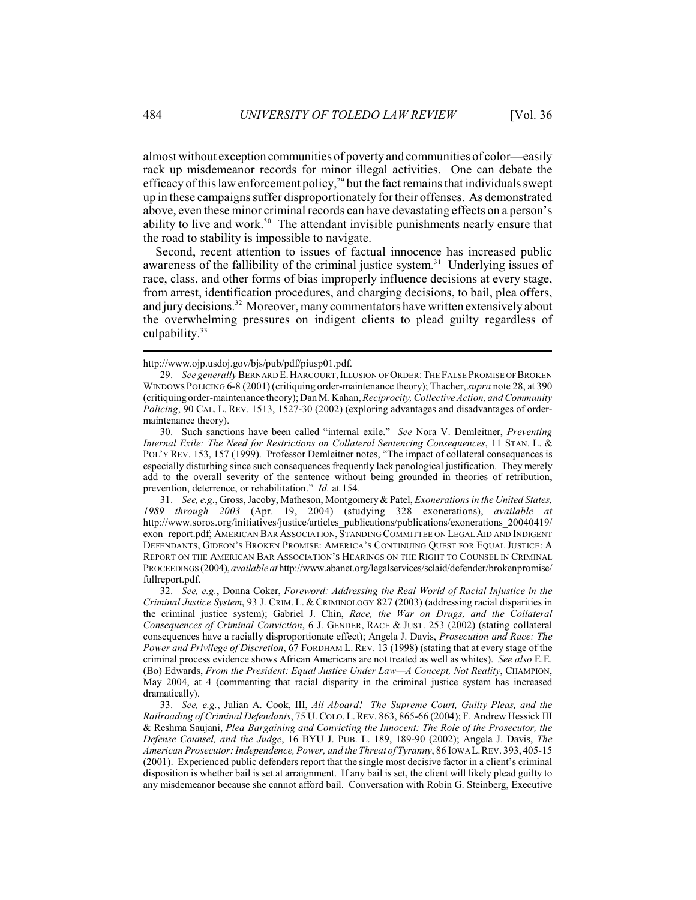almost without exception communities of poverty and communities of color—easily rack up misdemeanor records for minor illegal activities. One can debate the efficacy of this law enforcement policy,<sup>29</sup> but the fact remains that individuals swept up in these campaigns suffer disproportionately for their offenses. As demonstrated above, even these minor criminal records can have devastating effects on a person's ability to live and work.<sup>30</sup> The attendant invisible punishments nearly ensure that the road to stability is impossible to navigate.

Second, recent attention to issues of factual innocence has increased public awareness of the fallibility of the criminal justice system.<sup>31</sup> Underlying issues of race, class, and other forms of bias improperly influence decisions at every stage, from arrest, identification procedures, and charging decisions, to bail, plea offers, and jury decisions.<sup>32</sup> Moreover, many commentators have written extensively about the overwhelming pressures on indigent clients to plead guilty regardless of culpability. $33$ 

http://www.ojp.usdoj.gov/bjs/pub/pdf/piusp01.pdf.

<sup>29.</sup> *See generally* BERNARD E.HARCOURT,ILLUSION OF ORDER:THE FALSE PROMISE OF BROKEN WINDOWS POLICING 6-8 (2001) (critiquing order-maintenance theory); Thacher, *supra* note 28, at 390 (critiquing order-maintenance theory); Dan M. Kahan,*Reciprocity, Collective Action, and Community Policing*, 90 CAL. L. REV. 1513, 1527-30 (2002) (exploring advantages and disadvantages of ordermaintenance theory).

<sup>30.</sup> Such sanctions have been called "internal exile." *See* Nora V. Demleitner, *Preventing Internal Exile: The Need for Restrictions on Collateral Sentencing Consequences*, 11 STAN. L. & POL'Y REV. 153, 157 (1999). Professor Demleitner notes, "The impact of collateral consequences is especially disturbing since such consequences frequently lack penological justification. They merely add to the overall severity of the sentence without being grounded in theories of retribution, prevention, deterrence, or rehabilitation." *Id.* at 154.

<sup>31.</sup> *See, e.g.*, Gross, Jacoby, Matheson, Montgomery & Patel, *Exonerations in the United States, 1989 through 2003* (Apr. 19, 2004) (studying 328 exonerations), *available at* http://www.soros.org/initiatives/justice/articles\_publications/publications/exonerations\_20040419/ exon report.pdf; AMERICAN BAR ASSOCIATION, STANDING COMMITTEE ON LEGAL AID AND INDIGENT DEFENDANTS, GIDEON'S BROKEN PROMISE: AMERICA'S CONTINUING QUEST FOR EQUAL JUSTICE: A REPORT ON THE AMERICAN BAR ASSOCIATION'S HEARINGS ON THE RIGHT TO COUNSEL IN CRIMINAL PROCEEDINGS (2004), *available at* http://www.abanet.org/legalservices/sclaid/defender/brokenpromise/ fullreport.pdf.

<sup>32.</sup> *See, e.g.*, Donna Coker, *Foreword: Addressing the Real World of Racial Injustice in the Criminal Justice System*, 93 J. CRIM. L. & CRIMINOLOGY 827 (2003) (addressing racial disparities in the criminal justice system); Gabriel J. Chin, *Race, the War on Drugs, and the Collateral Consequences of Criminal Conviction*, 6 J. GENDER, RACE & JUST. 253 (2002) (stating collateral consequences have a racially disproportionate effect); Angela J. Davis, *Prosecution and Race: The Power and Privilege of Discretion*, 67 FORDHAM L. REV. 13 (1998) (stating that at every stage of the criminal process evidence shows African Americans are not treated as well as whites). *See also* E.E. (Bo) Edwards, *From the President: Equal Justice Under Law—A Concept, Not Reality*, CHAMPION, May 2004, at 4 (commenting that racial disparity in the criminal justice system has increased dramatically).

<sup>33.</sup> *See, e.g.*, Julian A. Cook, III, *All Aboard! The Supreme Court, Guilty Pleas, and the Railroading of Criminal Defendants*, 75 U. COLO.L.REV. 863, 865-66 (2004); F. Andrew Hessick III & Reshma Saujani, *Plea Bargaining and Convicting the Innocent: The Role of the Prosecutor, the Defense Counsel, and the Judge*, 16 BYU J. PUB. L. 189, 189-90 (2002); Angela J. Davis, *The American Prosecutor: Independence, Power, and the Threat of Tyranny*, 86 IOWA L.REV. 393, 405-15 (2001). Experienced public defenders report that the single most decisive factor in a client's criminal disposition is whether bail is set at arraignment. If any bail is set, the client will likely plead guilty to any misdemeanor because she cannot afford bail. Conversation with Robin G. Steinberg, Executive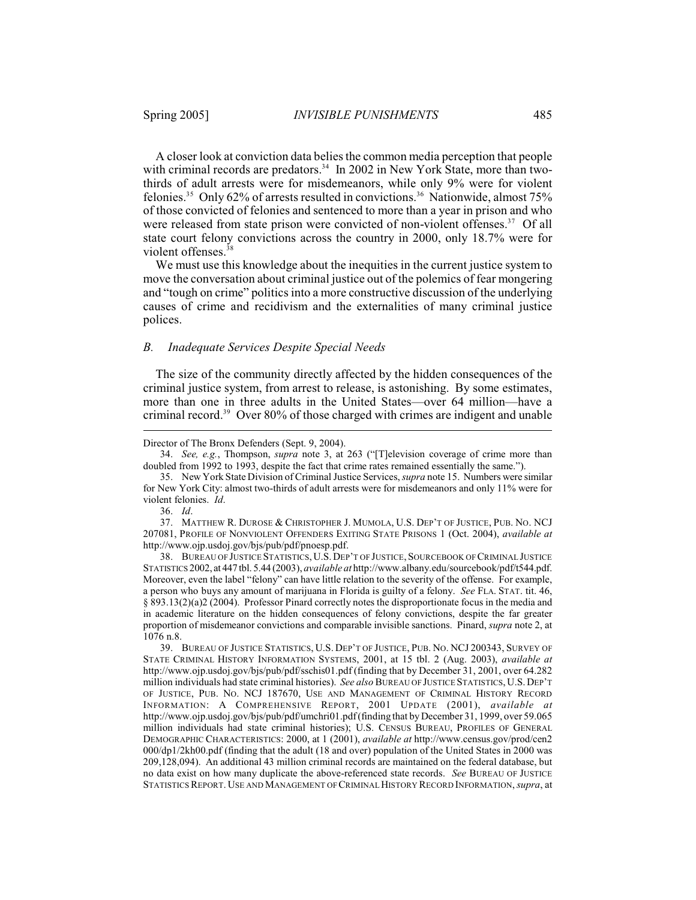A closer look at conviction data belies the common media perception that people with criminal records are predators.<sup>34</sup> In 2002 in New York State, more than twothirds of adult arrests were for misdemeanors, while only 9% were for violent felonies.<sup>35</sup> Only 62% of arrests resulted in convictions.<sup>36</sup> Nationwide, almost 75% of those convicted of felonies and sentenced to more than a year in prison and who were released from state prison were convicted of non-violent offenses.<sup>37</sup> Of all state court felony convictions across the country in 2000, only 18.7% were for violent offenses.<sup>38</sup>

We must use this knowledge about the inequities in the current justice system to move the conversation about criminal justice out of the polemics of fear mongering and "tough on crime" politics into a more constructive discussion of the underlying causes of crime and recidivism and the externalities of many criminal justice polices.

#### *B. Inadequate Services Despite Special Needs*

The size of the community directly affected by the hidden consequences of the criminal justice system, from arrest to release, is astonishing. By some estimates, more than one in three adults in the United States—over 64 million—have a criminal record.<sup>39</sup> Over 80% of those charged with crimes are indigent and unable

36. *Id*.

37. MATTHEW R. DUROSE & CHRISTOPHER J. MUMOLA, U.S. DEP'T OF JUSTICE, PUB. NO. NCJ 207081, PROFILE OF NONVIOLENT OFFENDERS EXITING STATE PRISONS 1 (Oct. 2004), *available at* http://www.ojp.usdoj.gov/bjs/pub/pdf/pnoesp.pdf.

38. BUREAU OF JUSTICE STATISTICS,U.S. DEP'T OF JUSTICE, SOURCEBOOK OF CRIMINAL JUSTICE STATISTICS 2002, at 447 tbl. 5.44 (2003), *available at* http://www.albany.edu/sourcebook/pdf/t544.pdf. Moreover, even the label "felony" can have little relation to the severity of the offense. For example, a person who buys any amount of marijuana in Florida is guilty of a felony. *See* FLA. STAT. tit. 46, § 893.13(2)(a)2 (2004). Professor Pinard correctly notes the disproportionate focus in the media and in academic literature on the hidden consequences of felony convictions, despite the far greater proportion of misdemeanor convictions and comparable invisible sanctions. Pinard, *supra* note 2, at 1076 n.8.

39. BUREAU OF JUSTICE STATISTICS, U.S. DEP'T OF JUSTICE, PUB. NO. NCJ 200343, SURVEY OF STATE CRIMINAL HISTORY INFORMATION SYSTEMS, 2001, at 15 tbl. 2 (Aug. 2003), *available at* http://www.ojp.usdoj.gov/bjs/pub/pdf/sschis01.pdf (finding that by December 31, 2001, over 64.282 million individuals had state criminal histories). *See also* BUREAU OF JUSTICE STATISTICS, U.S. DEP'T OF JUSTICE, PUB. NO. NCJ 187670, USE AND MANAGEMENT OF CRIMINAL HISTORY RECORD INFORMATION: A COMPREHENSIVE REPORT, 2001 UPDATE (2001), *available at* http://www.ojp.usdoj.gov/bjs/pub/pdf/umchri01.pdf(finding that by December 31, 1999, over 59.065 million individuals had state criminal histories); U.S. CENSUS BUREAU, PROFILES OF GENERAL DEMOGRAPHIC CHARACTERISTICS: 2000, at 1 (2001), *available at* http://www.census.gov/prod/cen2 000/dp1/2kh00.pdf (finding that the adult (18 and over) population of the United States in 2000 was 209,128,094). An additional 43 million criminal records are maintained on the federal database, but no data exist on how many duplicate the above-referenced state records. *See* BUREAU OF JUSTICE STATISTICS REPORT. USE AND MANAGEMENT OF CRIMINAL HISTORY RECORD INFORMATION, *supra*, at

Director of The Bronx Defenders (Sept. 9, 2004).

<sup>34.</sup> *See, e.g.*, Thompson, *supra* note 3, at 263 ("[T]elevision coverage of crime more than doubled from 1992 to 1993, despite the fact that crime rates remained essentially the same.").

<sup>35.</sup> New York State Division of Criminal Justice Services, *supra* note 15. Numbers were similar for New York City: almost two-thirds of adult arrests were for misdemeanors and only 11% were for violent felonies. *Id*.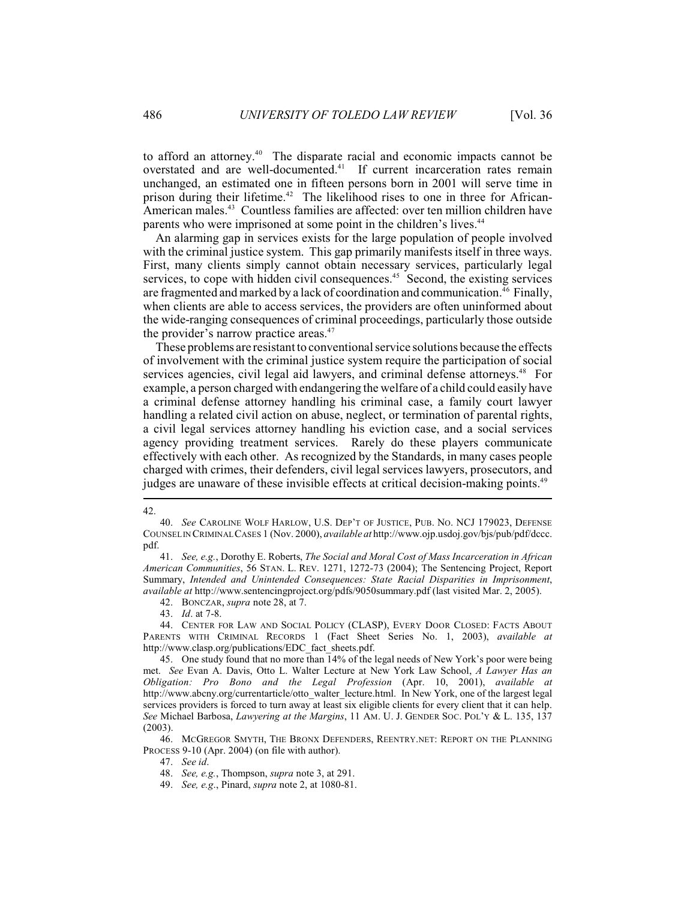to afford an attorney.<sup> $40$ </sup> The disparate racial and economic impacts cannot be overstated and are well-documented.<sup>41</sup> If current incarceration rates remain unchanged, an estimated one in fifteen persons born in 2001 will serve time in prison during their lifetime.<sup>42</sup> The likelihood rises to one in three for African-American males.<sup>43</sup> Countless families are affected: over ten million children have parents who were imprisoned at some point in the children's lives.<sup>44</sup>

An alarming gap in services exists for the large population of people involved with the criminal justice system. This gap primarily manifests itself in three ways. First, many clients simply cannot obtain necessary services, particularly legal services, to cope with hidden civil consequences.<sup> $45$ </sup> Second, the existing services are fragmented and marked by a lack of coordination and communication.<sup>46</sup> Finally, when clients are able to access services, the providers are often uninformed about the wide-ranging consequences of criminal proceedings, particularly those outside the provider's narrow practice areas.<sup>47</sup>

These problems are resistant to conventional service solutions because the effects of involvement with the criminal justice system require the participation of social services agencies, civil legal aid lawyers, and criminal defense attorneys.<sup>48</sup> For example, a person charged with endangering the welfare of a child could easily have a criminal defense attorney handling his criminal case, a family court lawyer handling a related civil action on abuse, neglect, or termination of parental rights, a civil legal services attorney handling his eviction case, and a social services agency providing treatment services. Rarely do these players communicate effectively with each other. As recognized by the Standards, in many cases people charged with crimes, their defenders, civil legal services lawyers, prosecutors, and judges are unaware of these invisible effects at critical decision-making points.<sup>49</sup>

#### 42.

47. *See id*.

<sup>40.</sup> *See* CAROLINE WOLF HARLOW, U.S. DEP'T OF JUSTICE, PUB. NO. NCJ 179023, DEFENSE COUNSEL IN CRIMINAL CASES 1 (Nov. 2000), *available at* http://www.ojp.usdoj.gov/bjs/pub/pdf/dccc. pdf.

<sup>41.</sup> *See, e.g.*, Dorothy E. Roberts, *The Social and Moral Cost of Mass Incarceration in African American Communities*, 56 STAN. L. REV. 1271, 1272-73 (2004); The Sentencing Project, Report Summary, *Intended and Unintended Consequences: State Racial Disparities in Imprisonment*, *available at* http://www.sentencingproject.org/pdfs/9050summary.pdf (last visited Mar. 2, 2005).

<sup>42.</sup> BONCZAR, *supra* note 28, at 7.

<sup>43.</sup> *Id*. at 7-8.

<sup>44.</sup> CENTER FOR LAW AND SOCIAL POLICY (CLASP), EVERY DOOR CLOSED: FACTS ABOUT PARENTS WITH CRIMINAL RECORDS 1 (Fact Sheet Series No. 1, 2003), *available at* http://www.clasp.org/publications/EDC\_fact\_sheets.pdf.

<sup>45.</sup> One study found that no more than 14% of the legal needs of New York's poor were being met. *See* Evan A. Davis, Otto L. Walter Lecture at New York Law School, *A Lawyer Has an Obligation: Pro Bono and the Legal Profession* (Apr. 10, 2001), *available at* http://www.abcny.org/currentarticle/otto\_walter\_lecture.html. In New York, one of the largest legal services providers is forced to turn away at least six eligible clients for every client that it can help. *See* Michael Barbosa, *Lawyering at the Margins*, 11 AM. U. J. GENDER SOC. POL'Y & L. 135, 137 (2003).

<sup>46.</sup> MCGREGOR SMYTH, THE BRONX DEFENDERS, REENTRY.NET: REPORT ON THE PLANNING PROCESS 9-10 (Apr. 2004) (on file with author).

<sup>48.</sup> *See, e.g.*, Thompson, *supra* note 3, at 291.

<sup>49.</sup> *See, e.g*., Pinard, *supra* note 2, at 1080-81.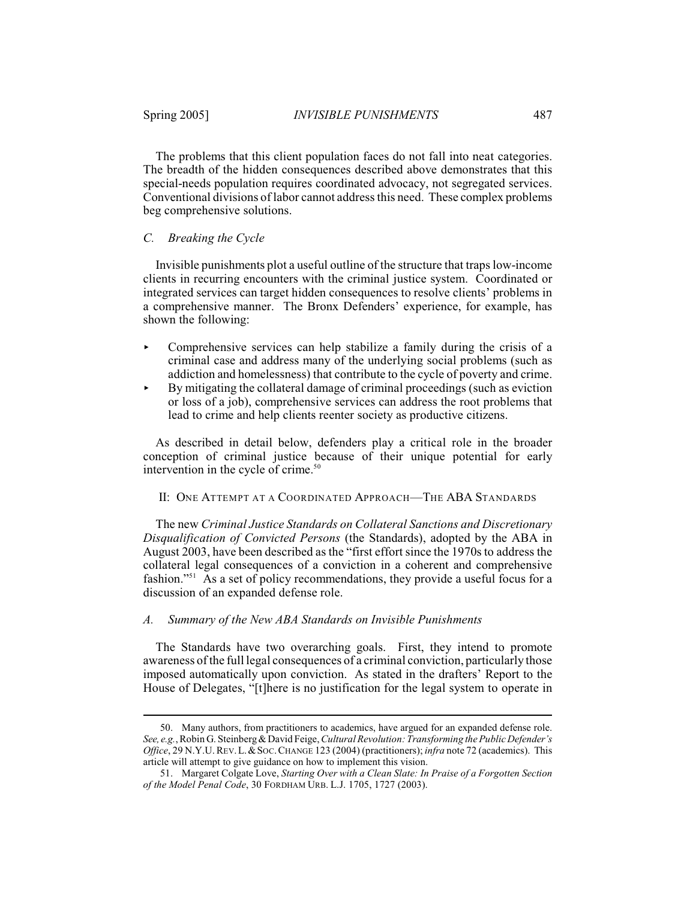The problems that this client population faces do not fall into neat categories. The breadth of the hidden consequences described above demonstrates that this special-needs population requires coordinated advocacy, not segregated services. Conventional divisions of labor cannot address this need. These complex problems beg comprehensive solutions.

# *C. Breaking the Cycle*

Invisible punishments plot a useful outline of the structure that traps low-income clients in recurring encounters with the criminal justice system. Coordinated or integrated services can target hidden consequences to resolve clients' problems in a comprehensive manner. The Bronx Defenders' experience, for example, has shown the following:

- $\triangleright$  Comprehensive services can help stabilize a family during the crisis of a criminal case and address many of the underlying social problems (such as addiction and homelessness) that contribute to the cycle of poverty and crime.
- $\blacktriangleright$  By mitigating the collateral damage of criminal proceedings (such as eviction or loss of a job), comprehensive services can address the root problems that lead to crime and help clients reenter society as productive citizens.

As described in detail below, defenders play a critical role in the broader conception of criminal justice because of their unique potential for early intervention in the cycle of crime.<sup>50</sup>

## II: ONE ATTEMPT AT A COORDINATED APPROACH—THE ABA STANDARDS

The new *Criminal Justice Standards on Collateral Sanctions and Discretionary Disqualification of Convicted Persons* (the Standards), adopted by the ABA in August 2003, have been described as the "first effort since the 1970s to address the collateral legal consequences of a conviction in a coherent and comprehensive fashion."<sup> $51$ </sup> As a set of policy recommendations, they provide a useful focus for a discussion of an expanded defense role.

#### *A. Summary of the New ABA Standards on Invisible Punishments*

The Standards have two overarching goals. First, they intend to promote awareness of the full legal consequences of a criminal conviction, particularly those imposed automatically upon conviction. As stated in the drafters' Report to the House of Delegates, "[t]here is no justification for the legal system to operate in

<sup>50.</sup> Many authors, from practitioners to academics, have argued for an expanded defense role. *See, e.g.*, Robin G. Steinberg & David Feige,*Cultural Revolution: Transforming the Public Defender's Office*, 29 N.Y.U. REV.L.&SOC.CHANGE 123 (2004) (practitioners); *infra* note 72 (academics). This article will attempt to give guidance on how to implement this vision.

<sup>51.</sup> Margaret Colgate Love, *Starting Over with a Clean Slate: In Praise of a Forgotten Section of the Model Penal Code*, 30 FORDHAM URB. L.J. 1705, 1727 (2003).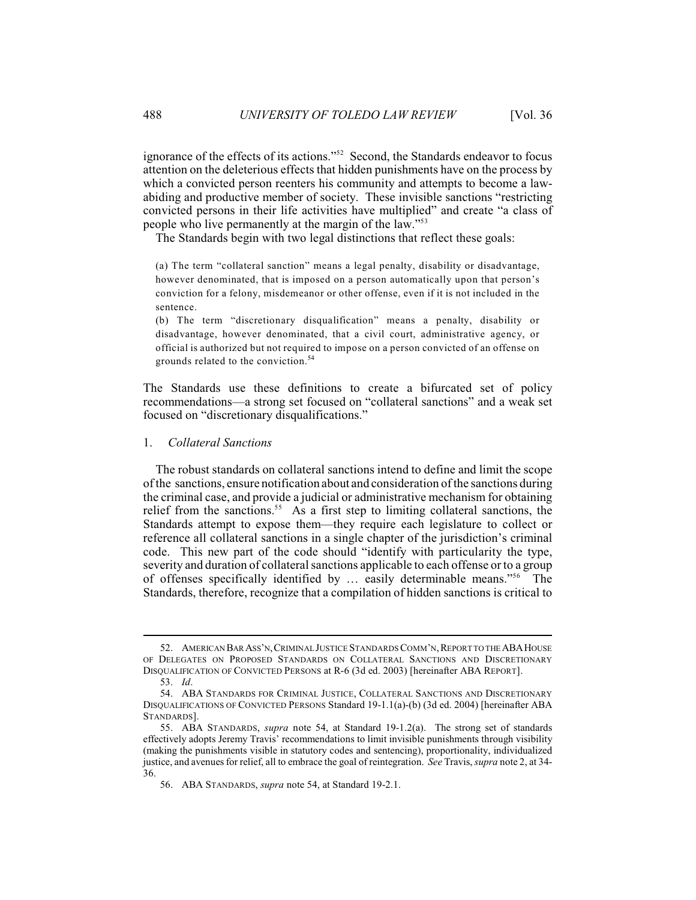ignorance of the effects of its actions."<sup>52</sup> Second, the Standards endeavor to focus attention on the deleterious effects that hidden punishments have on the process by which a convicted person reenters his community and attempts to become a lawabiding and productive member of society. These invisible sanctions "restricting convicted persons in their life activities have multiplied" and create "a class of people who live permanently at the margin of the law."<sup>53</sup>

The Standards begin with two legal distinctions that reflect these goals:

(a) The term "collateral sanction" means a legal penalty, disability or disadvantage, however denominated, that is imposed on a person automatically upon that person's conviction for a felony, misdemeanor or other offense, even if it is not included in the sentence.

(b) The term "discretionary disqualification" means a penalty, disability or disadvantage, however denominated, that a civil court, administrative agency, or official is authorized but not required to impose on a person convicted of an offense on grounds related to the conviction.<sup>54</sup>

The Standards use these definitions to create a bifurcated set of policy recommendations—a strong set focused on "collateral sanctions" and a weak set focused on "discretionary disqualifications."

1. *Collateral Sanctions*

The robust standards on collateral sanctions intend to define and limit the scope of the sanctions, ensure notification about and consideration of the sanctions during the criminal case, and provide a judicial or administrative mechanism for obtaining relief from the sanctions.<sup>55</sup> As a first step to limiting collateral sanctions, the Standards attempt to expose them—they require each legislature to collect or reference all collateral sanctions in a single chapter of the jurisdiction's criminal code. This new part of the code should "identify with particularity the type, severity and duration of collateral sanctions applicable to each offense or to a group of offenses specifically identified by ... easily determinable means."<sup>56</sup> The Standards, therefore, recognize that a compilation of hidden sanctions is critical to

<sup>52.</sup> AMERICAN BAR ASS'N, CRIMINAL JUSTICE STANDARDS COMM'N, REPORT TO THE ABA HOUSE OF DELEGATES ON PROPOSED STANDARDS ON COLLATERAL SANCTIONS AND DISCRETIONARY DISQUALIFICATION OF CONVICTED PERSONS at R-6 (3d ed. 2003) [hereinafter ABA REPORT].

<sup>53.</sup> *Id*.

<sup>54.</sup> ABA STANDARDS FOR CRIMINAL JUSTICE, COLLATERAL SANCTIONS AND DISCRETIONARY DISQUALIFICATIONS OF CONVICTED PERSONS Standard 19-1.1(a)-(b) (3d ed. 2004) [hereinafter ABA STANDARDS].

<sup>55.</sup> ABA STANDARDS, *supra* note 54, at Standard 19-1.2(a). The strong set of standards effectively adopts Jeremy Travis' recommendations to limit invisible punishments through visibility (making the punishments visible in statutory codes and sentencing), proportionality, individualized justice, and avenues for relief, all to embrace the goal of reintegration. *See* Travis, *supra* note 2, at 34- 36.

<sup>56.</sup> ABA STANDARDS, *supra* note 54, at Standard 19-2.1.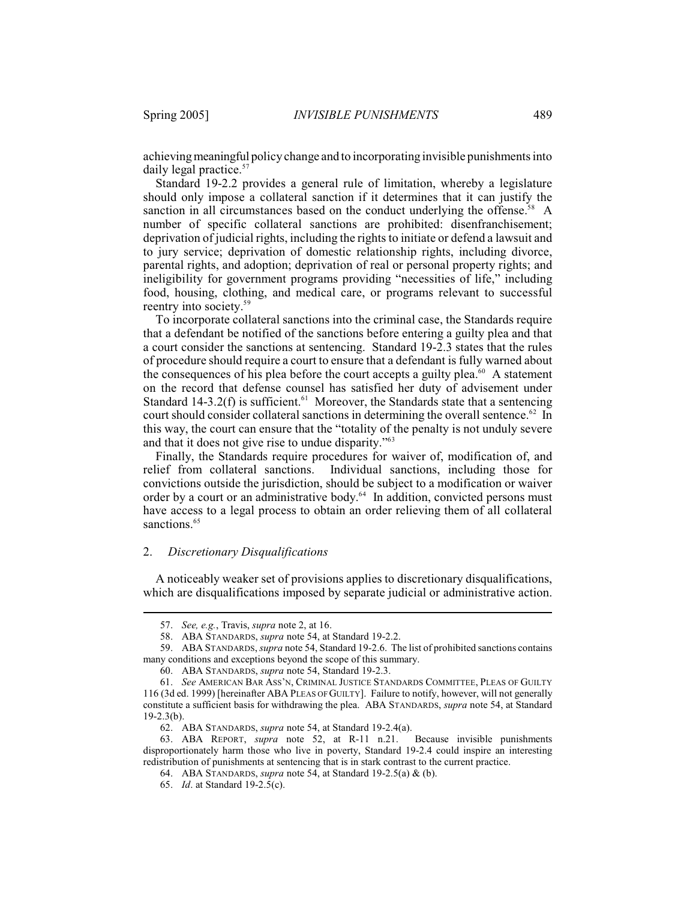achieving meaningful policy change and to incorporating invisible punishments into daily legal practice.<sup>57</sup>

Standard 19-2.2 provides a general rule of limitation, whereby a legislature should only impose a collateral sanction if it determines that it can justify the sanction in all circumstances based on the conduct underlying the offense.<sup>58</sup> A number of specific collateral sanctions are prohibited: disenfranchisement; deprivation of judicial rights, including the rights to initiate or defend a lawsuit and to jury service; deprivation of domestic relationship rights, including divorce, parental rights, and adoption; deprivation of real or personal property rights; and ineligibility for government programs providing "necessities of life," including food, housing, clothing, and medical care, or programs relevant to successful reentry into society.<sup>59</sup>

To incorporate collateral sanctions into the criminal case, the Standards require that a defendant be notified of the sanctions before entering a guilty plea and that a court consider the sanctions at sentencing. Standard 19-2.3 states that the rules of procedure should require a court to ensure that a defendant is fully warned about the consequences of his plea before the court accepts a guilty plea. $60$  A statement on the record that defense counsel has satisfied her duty of advisement under Standard 14-3.2(f) is sufficient.<sup> $61$ </sup> Moreover, the Standards state that a sentencing court should consider collateral sanctions in determining the overall sentence. $62$  In this way, the court can ensure that the "totality of the penalty is not unduly severe and that it does not give rise to undue disparity."<sup>63</sup>

Finally, the Standards require procedures for waiver of, modification of, and relief from collateral sanctions. Individual sanctions, including those for convictions outside the jurisdiction, should be subject to a modification or waiver order by a court or an administrative body. $64$  In addition, convicted persons must have access to a legal process to obtain an order relieving them of all collateral sanctions.<sup>65</sup>

#### 2. *Discretionary Disqualifications*

A noticeably weaker set of provisions applies to discretionary disqualifications, which are disqualifications imposed by separate judicial or administrative action.

<sup>57.</sup> *See, e.g.*, Travis, *supra* note 2, at 16.

<sup>58.</sup> ABA STANDARDS, *supra* note 54, at Standard 19-2.2.

<sup>59.</sup> ABA STANDARDS, *supra* note 54, Standard 19-2.6. The list of prohibited sanctions contains many conditions and exceptions beyond the scope of this summary.

<sup>60.</sup> ABA STANDARDS, *supra* note 54, Standard 19-2.3.

<sup>61.</sup> *See* AMERICAN BAR ASS'N, CRIMINAL JUSTICE STANDARDS COMMITTEE, PLEAS OF GUILTY 116 (3d ed. 1999) [hereinafter ABA PLEAS OF GUILTY]. Failure to notify, however, will not generally constitute a sufficient basis for withdrawing the plea. ABA STANDARDS, *supra* note 54, at Standard  $19-2.3(b)$ .

<sup>62.</sup> ABA STANDARDS, *supra* note 54, at Standard 19-2.4(a). 63. ABA REPORT, *supra* note 52, at R-11 n.21. disproportionately harm those who live in poverty, Standard 19-2.4 could inspire an interesting redistribution of punishments at sentencing that is in stark contrast to the current practice.

<sup>64.</sup> ABA STANDARDS, *supra* note 54, at Standard 19-2.5(a) & (b).

<sup>65.</sup> *Id*. at Standard 19-2.5(c).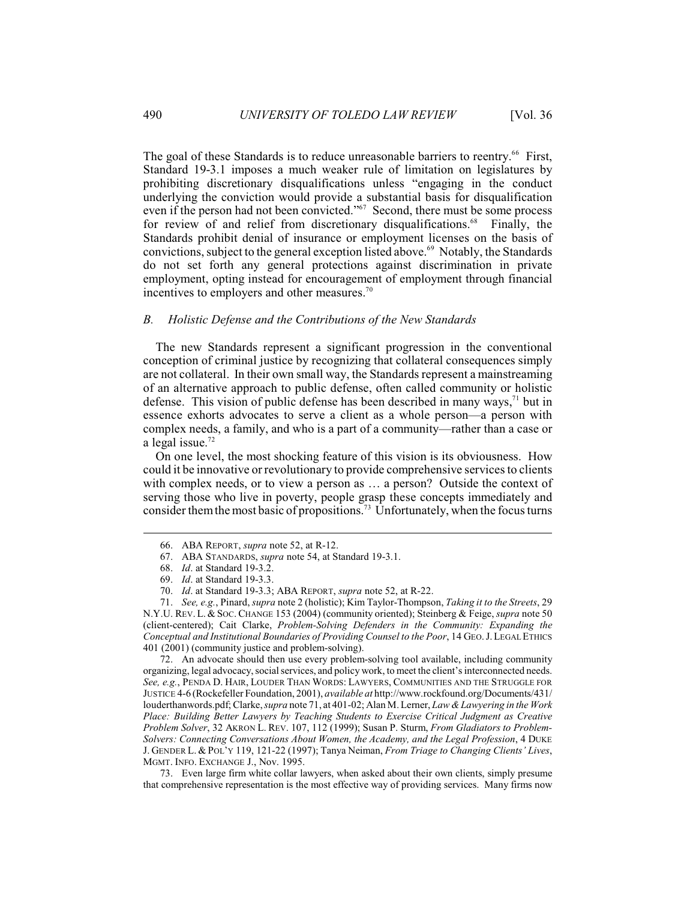The goal of these Standards is to reduce unreasonable barriers to reentry.<sup>66</sup> First, Standard 19-3.1 imposes a much weaker rule of limitation on legislatures by prohibiting discretionary disqualifications unless "engaging in the conduct underlying the conviction would provide a substantial basis for disqualification even if the person had not been convicted."<sup>67</sup> Second, there must be some process for review of and relief from discretionary disqualifications.<sup>68</sup> Finally, the Standards prohibit denial of insurance or employment licenses on the basis of convictions, subject to the general exception listed above.<sup>69</sup> Notably, the Standards do not set forth any general protections against discrimination in private employment, opting instead for encouragement of employment through financial incentives to employers and other measures.<sup>70</sup>

#### *B. Holistic Defense and the Contributions of the New Standards*

The new Standards represent a significant progression in the conventional conception of criminal justice by recognizing that collateral consequences simply are not collateral. In their own small way, the Standards represent a mainstreaming of an alternative approach to public defense, often called community or holistic defense. This vision of public defense has been described in many ways,  $71$  but in essence exhorts advocates to serve a client as a whole person—a person with complex needs, a family, and who is a part of a community—rather than a case or a legal issue. 72

On one level, the most shocking feature of this vision is its obviousness. How could it be innovative orrevolutionary to provide comprehensive services to clients with complex needs, or to view a person as ... a person? Outside the context of serving those who live in poverty, people grasp these concepts immediately and consider them the most basic of propositions.<sup>73</sup> Unfortunately, when the focus turns

72. An advocate should then use every problem-solving tool available, including community organizing, legal advocacy, social services, and policy work, to meet the client's interconnected needs. *See, e.g.*, PENDA D. HAIR, LOUDER THAN WORDS: LAWYERS, COMMUNITIES AND THE STRUGGLE FOR JUSTICE 4-6 (Rockefeller Foundation, 2001), *available at* http://www.rockfound.org/Documents/431/ louderthanwords.pdf; Clarke,*supra* note 71, at 401-02; Alan M. Lerner, *Law & Lawyering in the Work Place: Building Better Lawyers by Teaching Students to Exercise Critical Judgment as Creative Problem Solver*, 32 AKRON L. REV. 107, 112 (1999); Susan P. Sturm, *From Gladiators to Problem-Solvers: Connecting Conversations About Women, the Academy, and the Legal Profession*, 4 DUKE J. GENDER L. & POL'Y 119, 121-22 (1997); Tanya Neiman, *From Triage to Changing Clients' Lives*, MGMT. INFO. EXCHANGE J., Nov. 1995.

73. Even large firm white collar lawyers, when asked about their own clients, simply presume that comprehensive representation is the most effective way of providing services. Many firms now

<sup>66.</sup> ABA REPORT, *supra* note 52, at R-12.

<sup>67.</sup> ABA STANDARDS, *supra* note 54, at Standard 19-3.1.

<sup>68.</sup> *Id*. at Standard 19-3.2.

<sup>69.</sup> *Id*. at Standard 19-3.3.

<sup>70.</sup> *Id*. at Standard 19-3.3; ABA REPORT, *supra* note 52, at R-22.

<sup>71.</sup> *See, e.g.*, Pinard, *supra* note 2 (holistic); Kim Taylor-Thompson, *Taking it to the Streets*, 29 N.Y.U. REV. L. &SOC.CHANGE 153 (2004) (community oriented); Steinberg & Feige, *supra* note 50 (client-centered); Cait Clarke, *Problem-Solving Defenders in the Community: Expanding the Conceptual and Institutional Boundaries of Providing Counsel to the Poor*, 14 GEO.J.LEGAL ETHICS 401 (2001) (community justice and problem-solving).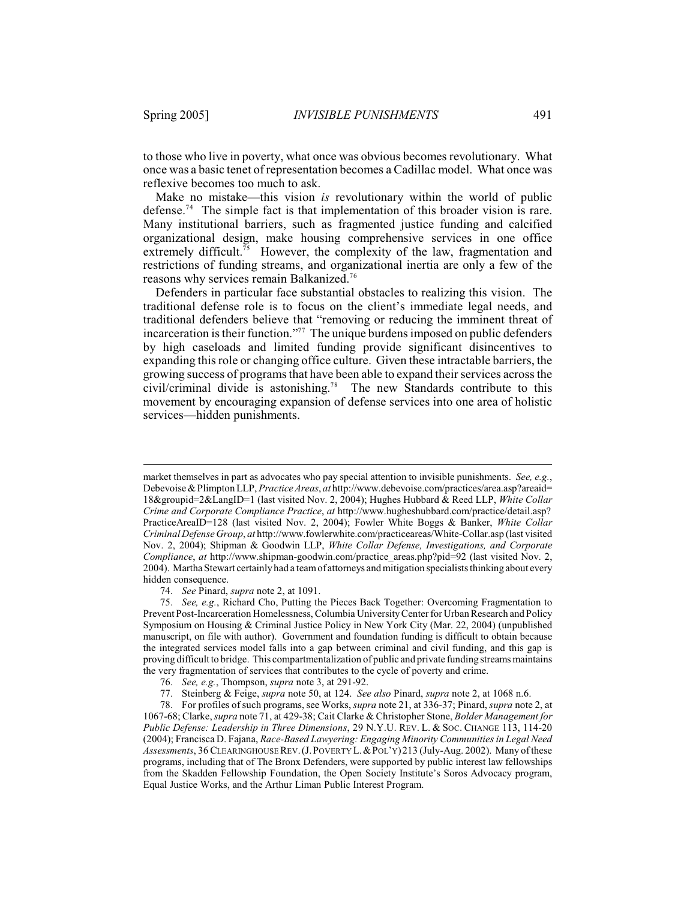to those who live in poverty, what once was obvious becomes revolutionary. What once was a basic tenet of representation becomes a Cadillac model. What once was reflexive becomes too much to ask.

Make no mistake—this vision *is* revolutionary within the world of public defense.<sup> $74$ </sup> The simple fact is that implementation of this broader vision is rare. Many institutional barriers, such as fragmented justice funding and calcified organizational design, make housing comprehensive services in one office extremely difficult.<sup>75</sup> However, the complexity of the law, fragmentation and restrictions of funding streams, and organizational inertia are only a few of the reasons why services remain Balkanized.<sup>76</sup>

Defenders in particular face substantial obstacles to realizing this vision. The traditional defense role is to focus on the client's immediate legal needs, and traditional defenders believe that "removing or reducing the imminent threat of incarceration is their function."<sup>77</sup> The unique burdens imposed on public defenders by high caseloads and limited funding provide significant disincentives to expanding this role or changing office culture. Given these intractable barriers, the growing success of programs that have been able to expand their services across the civil/criminal divide is astonishing.<sup>78</sup> The new Standards contribute to this movement by encouraging expansion of defense services into one area of holistic services—hidden punishments.

74. *See* Pinard, *supra* note 2, at 1091.

75. *See, e.g.*, Richard Cho, Putting the Pieces Back Together: Overcoming Fragmentation to Prevent Post-Incarceration Homelessness, Columbia University Center for Urban Research and Policy Symposium on Housing & Criminal Justice Policy in New York City (Mar. 22, 2004) (unpublished manuscript, on file with author). Government and foundation funding is difficult to obtain because the integrated services model falls into a gap between criminal and civil funding, and this gap is proving difficult to bridge. This compartmentalization of public and private funding streams maintains the very fragmentation of services that contributes to the cycle of poverty and crime.

market themselves in part as advocates who pay special attention to invisible punishments. *See, e.g.*, Debevoise & Plimpton LLP, *Practice Areas*, *at* http://www.debevoise.com/practices/area.asp?areaid= 18&groupid=2&LangID=1 (last visited Nov. 2, 2004); Hughes Hubbard & Reed LLP, *White Collar Crime and Corporate Compliance Practice*, *at* http://www.hugheshubbard.com/practice/detail.asp? PracticeAreaID=128 (last visited Nov. 2, 2004); Fowler White Boggs & Banker, *White Collar Criminal Defense Group*, *at* http://www.fowlerwhite.com/practiceareas/White-Collar.asp (last visited Nov. 2, 2004); Shipman & Goodwin LLP, *White Collar Defense, Investigations, and Corporate Compliance*, *at* http://www.shipman-goodwin.com/practice\_areas.php?pid=92 (last visited Nov. 2, 2004). Martha Stewart certainly had a team of attorneys and mitigation specialists thinking about every hidden consequence.

<sup>76.</sup> *See, e.g.*, Thompson, *supra* note 3, at 291-92.

<sup>77.</sup> Steinberg & Feige, *supra* note 50, at 124. *See also* Pinard, *supra* note 2, at 1068 n.6.

<sup>78.</sup> For profiles of such programs, see Works,*supra* note 21, at 336-37; Pinard, *supra* note 2, at 1067-68; Clarke,*supra* note 71, at 429-38; Cait Clarke & Christopher Stone, *Bolder Management for Public Defense: Leadership in Three Dimensions*, 29 N.Y.U. REV. L. & SOC. CHANGE 113, 114-20 (2004); Francisca D. Fajana, *Race-Based Lawyering: Engaging Minority Communities in Legal Need Assessments*, 36 CLEARINGHOUSE REV.(J.POVERTY L.&POL'Y)213 (July-Aug. 2002). Many of these programs, including that of The Bronx Defenders, were supported by public interest law fellowships from the Skadden Fellowship Foundation, the Open Society Institute's Soros Advocacy program, Equal Justice Works, and the Arthur Liman Public Interest Program.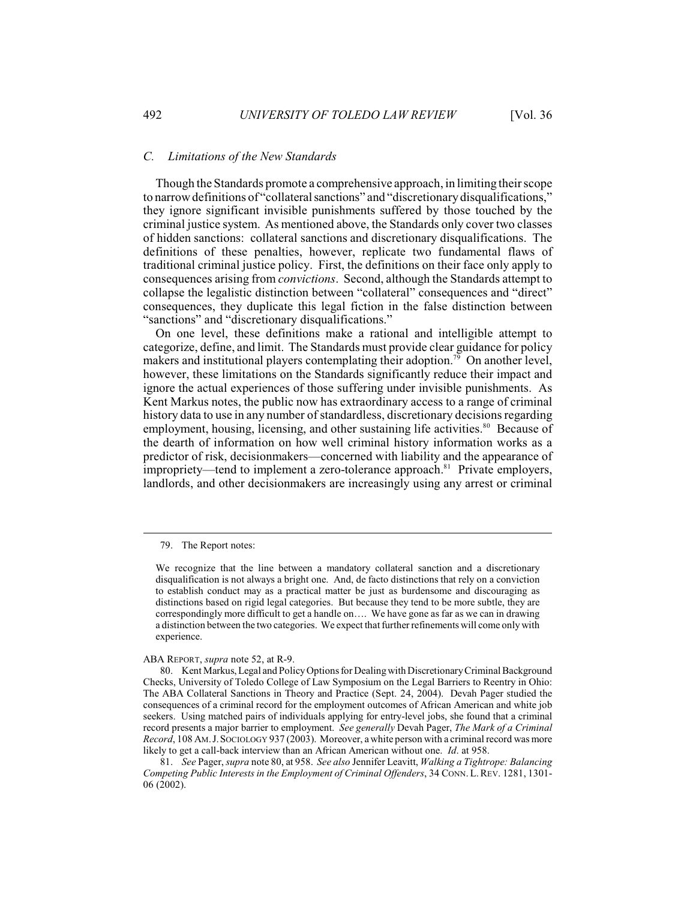## *C. Limitations of the New Standards*

Though the Standards promote a comprehensive approach, in limiting their scope to narrow definitions of "collateral sanctions" and "discretionary disqualifications," they ignore significant invisible punishments suffered by those touched by the criminal justice system. As mentioned above, the Standards only cover two classes of hidden sanctions: collateral sanctions and discretionary disqualifications. The definitions of these penalties, however, replicate two fundamental flaws of traditional criminal justice policy. First, the definitions on their face only apply to consequences arising from *convictions*. Second, although the Standards attempt to collapse the legalistic distinction between "collateral" consequences and "direct" consequences, they duplicate this legal fiction in the false distinction between "sanctions" and "discretionary disqualifications."

On one level, these definitions make a rational and intelligible attempt to categorize, define, and limit. The Standards must provide clear guidance for policy makers and institutional players contemplating their adoption.<sup>79</sup> On another level, however, these limitations on the Standards significantly reduce their impact and ignore the actual experiences of those suffering under invisible punishments. As Kent Markus notes, the public now has extraordinary access to a range of criminal history data to use in any number of standardless, discretionary decisions regarding employment, housing, licensing, and other sustaining life activities.<sup>80</sup> Because of the dearth of information on how well criminal history information works as a predictor of risk, decisionmakers—concerned with liability and the appearance of  $\frac{1}{2}$  impropriety—tend to implement a zero-tolerance approach.<sup>81</sup> Private employers, landlords, and other decisionmakers are increasingly using any arrest or criminal

ABA REPORT, *supra* note 52, at R-9.

81. *See* Pager, *supra* note 80, at 958. *See also* Jennifer Leavitt, *Walking a Tightrope: Balancing Competing Public Interests in the Employment of Criminal Offenders*, 34 CONN. L.REV. 1281, 1301- 06 (2002).

<sup>79.</sup> The Report notes:

We recognize that the line between a mandatory collateral sanction and a discretionary disqualification is not always a bright one. And, de facto distinctions that rely on a conviction to establish conduct may as a practical matter be just as burdensome and discouraging as distinctions based on rigid legal categories. But because they tend to be more subtle, they are correspondingly more difficult to get a handle on…. We have gone as far as we can in drawing a distinction between the two categories. We expect that further refinements will come only with experience.

<sup>80.</sup> Kent Markus, Legal and Policy Options for Dealing with Discretionary Criminal Background Checks, University of Toledo College of Law Symposium on the Legal Barriers to Reentry in Ohio: The ABA Collateral Sanctions in Theory and Practice (Sept. 24, 2004). Devah Pager studied the consequences of a criminal record for the employment outcomes of African American and white job seekers. Using matched pairs of individuals applying for entry-level jobs, she found that a criminal record presents a major barrier to employment. *See generally* Devah Pager, *The Mark of a Criminal Record*, 108 AM.J.SOCIOLOGY 937 (2003). Moreover, a white person with a criminal record was more likely to get a call-back interview than an African American without one. *Id*. at 958.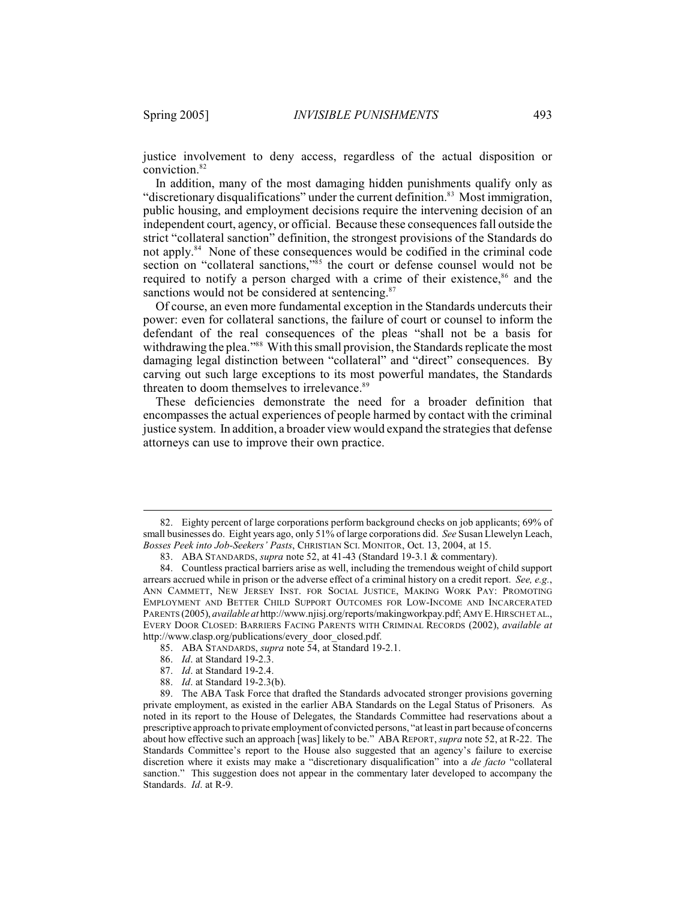justice involvement to deny access, regardless of the actual disposition or conviction.<sup>82</sup>

In addition, many of the most damaging hidden punishments qualify only as "discretionary disqualifications" under the current definition.<sup>83</sup> Most immigration, public housing, and employment decisions require the intervening decision of an independent court, agency, or official. Because these consequences fall outside the strict "collateral sanction" definition, the strongest provisions of the Standards do not apply.<sup>84</sup> None of these consequences would be codified in the criminal code section on "collateral sanctions," $\frac{355}{100}$  the court or defense counsel would not be required to notify a person charged with a crime of their existence, $86$  and the sanctions would not be considered at sentencing.<sup>87</sup>

Of course, an even more fundamental exception in the Standards undercuts their power: even for collateral sanctions, the failure of court or counsel to inform the defendant of the real consequences of the pleas "shall not be a basis for withdrawing the plea."<sup>88</sup> With this small provision, the Standards replicate the most damaging legal distinction between "collateral" and "direct" consequences. By carving out such large exceptions to its most powerful mandates, the Standards threaten to doom themselves to irrelevance.<sup>89</sup>

These deficiencies demonstrate the need for a broader definition that encompasses the actual experiences of people harmed by contact with the criminal justice system. In addition, a broader view would expand the strategies that defense attorneys can use to improve their own practice.

<sup>82.</sup> Eighty percent of large corporations perform background checks on job applicants; 69% of small businesses do. Eight years ago, only 51% of large corporations did. *See* Susan Llewelyn Leach, *Bosses Peek into Job-Seekers' Pasts*, CHRISTIAN SCI. MONITOR, Oct. 13, 2004, at 15.

<sup>83.</sup> ABA STANDARDS, *supra* note 52, at 41-43 (Standard 19-3.1 & commentary).

<sup>84.</sup> Countless practical barriers arise as well, including the tremendous weight of child support arrears accrued while in prison or the adverse effect of a criminal history on a credit report. *See, e.g.*, ANN CAMMETT, NEW JERSEY INST. FOR SOCIAL JUSTICE, MAKING WORK PAY: PROMOTING EMPLOYMENT AND BETTER CHILD SUPPORT OUTCOMES FOR LOW-INCOME AND INCARCERATED PARENTS (2005), *available at* http://www.njisj.org/reports/makingworkpay.pdf; AMY E.HIRSCH ET AL., EVERY DOOR CLOSED: BARRIERS FACING PARENTS WITH CRIMINAL RECORDS (2002), *available at* http://www.clasp.org/publications/every\_door\_closed.pdf.

<sup>85.</sup> ABA STANDARDS, *supra* note 54, at Standard 19-2.1.

<sup>86.</sup> *Id*. at Standard 19-2.3.

<sup>87.</sup> *Id*. at Standard 19-2.4.

<sup>88.</sup> *Id*. at Standard 19-2.3(b).

<sup>89.</sup> The ABA Task Force that drafted the Standards advocated stronger provisions governing private employment, as existed in the earlier ABA Standards on the Legal Status of Prisoners. As noted in its report to the House of Delegates, the Standards Committee had reservations about a prescriptive approach to private employment of convicted persons, "at least in part because of concerns about how effective such an approach [was] likely to be." ABA REPORT, *supra* note 52, at R-22. The Standards Committee's report to the House also suggested that an agency's failure to exercise discretion where it exists may make a "discretionary disqualification" into a *de facto* "collateral sanction." This suggestion does not appear in the commentary later developed to accompany the Standards. *Id*. at R-9.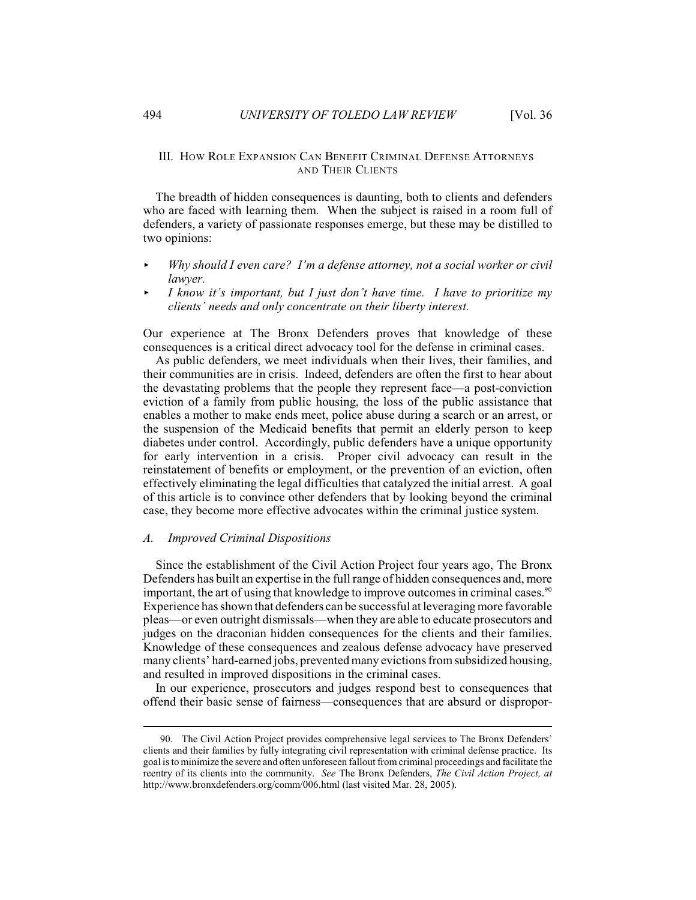# III. HOW ROLE EXPANSION CAN BENEFIT CRIMINAL DEFENSE ATTORNEYS AND THEIR CLIENTS

The breadth of hidden consequences is daunting, both to clients and defenders who are faced with learning them. When the subject is raised in a room full of defenders, a variety of passionate responses emerge, but these may be distilled to two opinions:

- < *Why should I even care? I'm a defense attorney, not a social worker or civil lawyer.*
- < *I know it's important, but I just don't have time. I have to prioritize my clients' needs and only concentrate on their liberty interest.*

Our experience at The Bronx Defenders proves that knowledge of these consequences is a critical direct advocacy tool for the defense in criminal cases.

As public defenders, we meet individuals when their lives, their families, and their communities are in crisis. Indeed, defenders are often the first to hear about the devastating problems that the people they represent face—a post-conviction eviction of a family from public housing, the loss of the public assistance that enables a mother to make ends meet, police abuse during a search or an arrest, or the suspension of the Medicaid benefits that permit an elderly person to keep diabetes under control. Accordingly, public defenders have a unique opportunity for early intervention in a crisis. Proper civil advocacy can result in the reinstatement of benefits or employment, or the prevention of an eviction, often effectively eliminating the legal difficulties that catalyzed the initial arrest. A goal of this article is to convince other defenders that by looking beyond the criminal case, they become more effective advocates within the criminal justice system.

## *A. Improved Criminal Dispositions*

Since the establishment of the Civil Action Project four years ago, The Bronx Defenders has built an expertise in the full range of hidden consequences and, more important, the art of using that knowledge to improve outcomes in criminal cases.<sup>90</sup> Experience has shown that defenders can be successful at leveraging more favorable pleas—or even outright dismissals—when they are able to educate prosecutors and judges on the draconian hidden consequences for the clients and their families. Knowledge of these consequences and zealous defense advocacy have preserved many clients' hard-earned jobs, prevented many evictions from subsidized housing, and resulted in improved dispositions in the criminal cases.

In our experience, prosecutors and judges respond best to consequences that offend their basic sense of fairness—consequences that are absurd or dispropor-

<sup>90.</sup> The Civil Action Project provides comprehensive legal services to The Bronx Defenders' clients and their families by fully integrating civil representation with criminal defense practice. Its goal is to minimize the severe and often unforeseen fallout from criminal proceedings and facilitate the reentry of its clients into the community. *See* The Bronx Defenders, *The Civil Action Project, at* http://www.bronxdefenders.org/comm/006.html (last visited Mar. 28, 2005).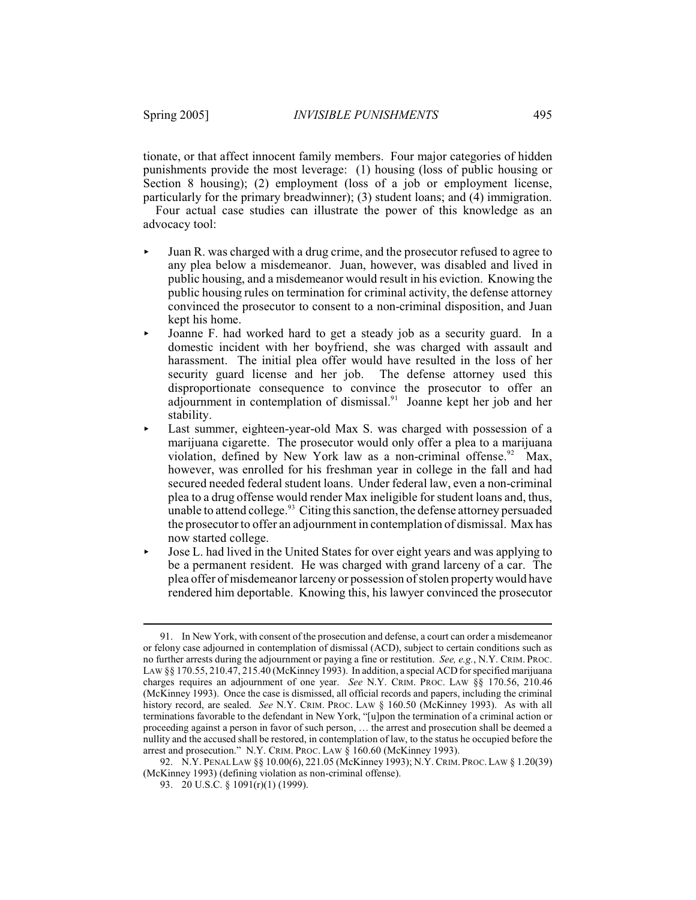tionate, or that affect innocent family members. Four major categories of hidden punishments provide the most leverage: (1) housing (loss of public housing or Section 8 housing); (2) employment (loss of a job or employment license, particularly for the primary breadwinner); (3) student loans; and (4) immigration.

Four actual case studies can illustrate the power of this knowledge as an advocacy tool:

- < Juan R. was charged with a drug crime, and the prosecutor refused to agree to any plea below a misdemeanor. Juan, however, was disabled and lived in public housing, and a misdemeanor would result in his eviction. Knowing the public housing rules on termination for criminal activity, the defense attorney convinced the prosecutor to consent to a non-criminal disposition, and Juan kept his home.
- < Joanne F. had worked hard to get a steady job as a security guard. In a domestic incident with her boyfriend, she was charged with assault and harassment. The initial plea offer would have resulted in the loss of her security guard license and her job. The defense attorney used this disproportionate consequence to convince the prosecutor to offer an adjournment in contemplation of dismissal.<sup>91</sup> Joanne kept her job and her stability.
- $\blacktriangleright$  Last summer, eighteen-year-old Max S. was charged with possession of a marijuana cigarette. The prosecutor would only offer a plea to a marijuana violation, defined by New York law as a non-criminal offense.<sup>92</sup> Max, however, was enrolled for his freshman year in college in the fall and had secured needed federal student loans. Under federal law, even a non-criminal plea to a drug offense would render Max ineligible for student loans and, thus, unable to attend college.<sup>93</sup> Citing this sanction, the defense attorney persuaded the prosecutor to offer an adjournment in contemplation of dismissal. Max has now started college.
- $\triangleright$  Jose L, had lived in the United States for over eight years and was applying to be a permanent resident. He was charged with grand larceny of a car. The plea offer of misdemeanor larceny or possession of stolen property would have rendered him deportable. Knowing this, his lawyer convinced the prosecutor

<sup>91.</sup> In New York, with consent of the prosecution and defense, a court can order a misdemeanor or felony case adjourned in contemplation of dismissal (ACD), subject to certain conditions such as no further arrests during the adjournment or paying a fine or restitution. *See, e.g.*, N.Y. CRIM. PROC. LAW §§ 170.55, 210.47, 215.40 (McKinney 1993). In addition, a special ACD for specified marijuana charges requires an adjournment of one year. *See* N.Y. CRIM. PROC. LAW §§ 170.56, 210.46 (McKinney 1993). Once the case is dismissed, all official records and papers, including the criminal history record, are sealed. *See* N.Y. CRIM. PROC. LAW § 160.50 (McKinney 1993). As with all terminations favorable to the defendant in New York, "[u]pon the termination of a criminal action or proceeding against a person in favor of such person, … the arrest and prosecution shall be deemed a nullity and the accused shall be restored, in contemplation of law, to the status he occupied before the arrest and prosecution." N.Y. CRIM. PROC. LAW § 160.60 (McKinney 1993).

<sup>92.</sup> N.Y. PENAL LAW §§ 10.00(6), 221.05 (McKinney 1993); N.Y. CRIM.PROC.LAW § 1.20(39) (McKinney 1993) (defining violation as non-criminal offense).

<sup>93. 20</sup> U.S.C. § 1091(r)(1) (1999).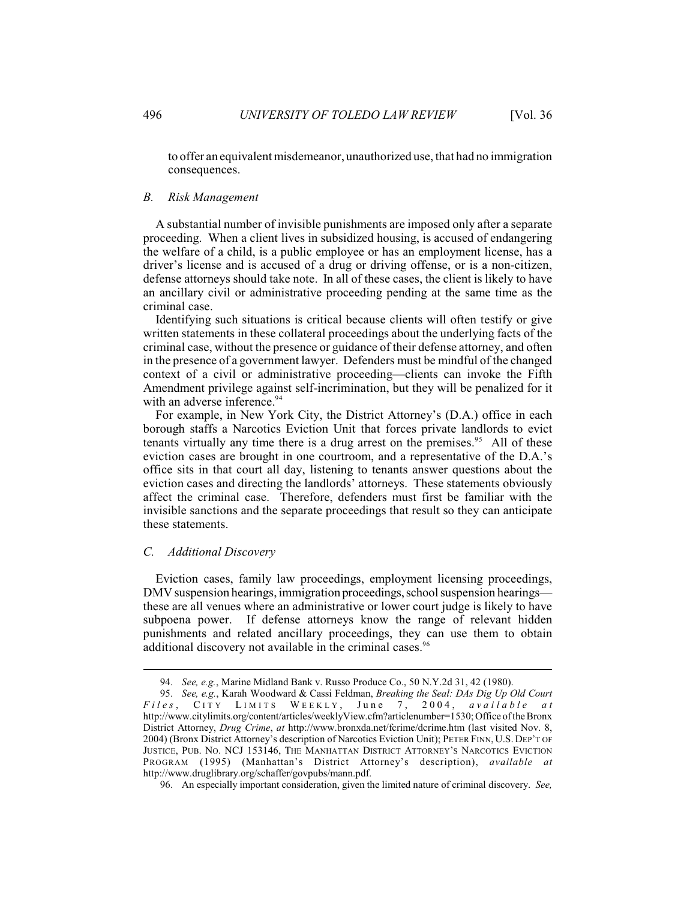to offer an equivalent misdemeanor, unauthorized use, that had no immigration consequences.

#### *B. Risk Management*

A substantial number of invisible punishments are imposed only after a separate proceeding. When a client lives in subsidized housing, is accused of endangering the welfare of a child, is a public employee or has an employment license, has a driver's license and is accused of a drug or driving offense, or is a non-citizen, defense attorneys should take note. In all of these cases, the client is likely to have an ancillary civil or administrative proceeding pending at the same time as the criminal case.

Identifying such situations is critical because clients will often testify or give written statements in these collateral proceedings about the underlying facts of the criminal case, without the presence or guidance of their defense attorney, and often in the presence of a government lawyer. Defenders must be mindful of the changed context of a civil or administrative proceeding—clients can invoke the Fifth Amendment privilege against self-incrimination, but they will be penalized for it with an adverse inference.<sup>94</sup>

For example, in New York City, the District Attorney's (D.A.) office in each borough staffs a Narcotics Eviction Unit that forces private landlords to evict tenants virtually any time there is a drug arrest on the premises.<sup>95</sup> All of these eviction cases are brought in one courtroom, and a representative of the D.A.'s office sits in that court all day, listening to tenants answer questions about the eviction cases and directing the landlords' attorneys. These statements obviously affect the criminal case. Therefore, defenders must first be familiar with the invisible sanctions and the separate proceedings that result so they can anticipate these statements.

#### *C. Additional Discovery*

Eviction cases, family law proceedings, employment licensing proceedings, DMV suspension hearings, immigration proceedings, school suspension hearings these are all venues where an administrative or lower court judge is likely to have subpoena power. If defense attorneys know the range of relevant hidden punishments and related ancillary proceedings, they can use them to obtain additional discovery not available in the criminal cases.<sup>96</sup>

<sup>94.</sup> *See, e.g.*, Marine Midland Bank v. Russo Produce Co., 50 N.Y.2d 31, 42 (1980).

<sup>95.</sup> *See, e.g.*, Karah Woodward & Cassi Feldman, *Breaking the Seal: DAs Dig Up Old Court Files* , C I TY L I M I TS W E E K L Y , J une 7, 2004, *a v ailabl e a t* http://www.citylimits.org/content/articles/weeklyView.cfm?articlenumber=1530; Office of the Bronx District Attorney, *Drug Crime*, *at* http://www.bronxda.net/fcrime/dcrime.htm (last visited Nov. 8, 2004) (Bronx District Attorney's description of Narcotics Eviction Unit); PETER FINN, U.S. DEP'T OF JUSTICE, PUB. NO. NCJ 153146, THE MANHATTAN DISTRICT ATTORNEY'S NARCOTICS EVICTION PROGRAM (1995) (Manhattan's District Attorney's description), *available at* http://www.druglibrary.org/schaffer/govpubs/mann.pdf.

<sup>96.</sup> An especially important consideration, given the limited nature of criminal discovery. *See,*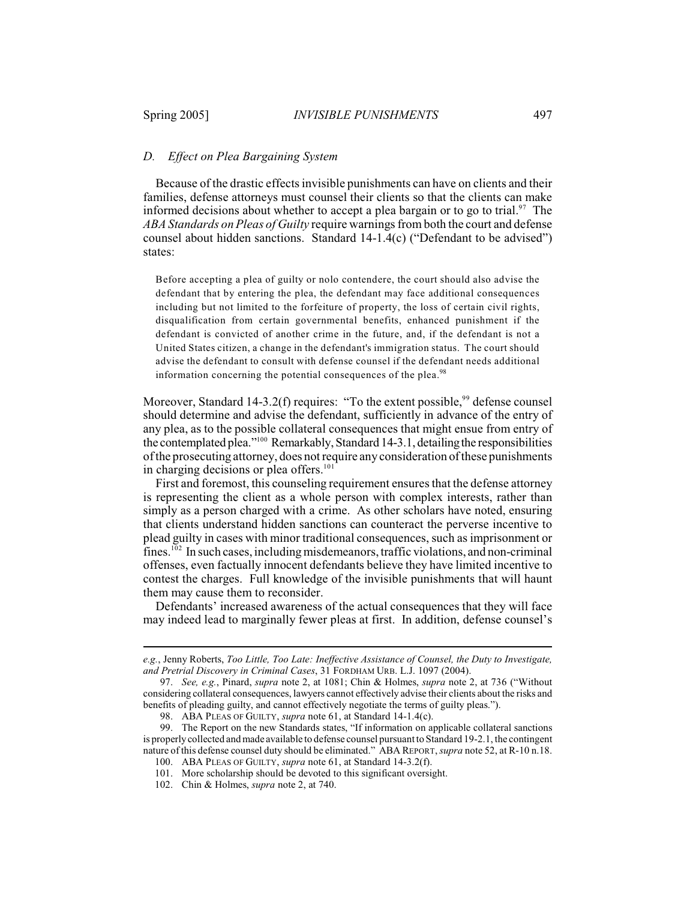# *D. Effect on Plea Bargaining System*

Because of the drastic effects invisible punishments can have on clients and their families, defense attorneys must counsel their clients so that the clients can make informed decisions about whether to accept a plea bargain or to go to trial.<sup>97</sup> The *ABA Standards on Pleas of Guilty* require warnings from both the court and defense counsel about hidden sanctions. Standard 14-1.4(c) ("Defendant to be advised") states:

Before accepting a plea of guilty or nolo contendere, the court should also advise the defendant that by entering the plea, the defendant may face additional consequences including but not limited to the forfeiture of property, the loss of certain civil rights, disqualification from certain governmental benefits, enhanced punishment if the defendant is convicted of another crime in the future, and, if the defendant is not a United States citizen, a change in the defendant's immigration status. The court should advise the defendant to consult with defense counsel if the defendant needs additional information concerning the potential consequences of the plea.<sup>98</sup>

Moreover, Standard 14-3.2(f) requires: "To the extent possible,  $99$  defense counsel should determine and advise the defendant, sufficiently in advance of the entry of any plea, as to the possible collateral consequences that might ensue from entry of the contemplated plea." $100$  Remarkably, Standard 14-3.1, detailing the responsibilities of the prosecuting attorney, does not require any consideration of these punishments in charging decisions or plea offers.<sup>101</sup>

First and foremost, this counseling requirement ensures that the defense attorney is representing the client as a whole person with complex interests, rather than simply as a person charged with a crime. As other scholars have noted, ensuring that clients understand hidden sanctions can counteract the perverse incentive to plead guilty in cases with minor traditional consequences, such as imprisonment or  $fines.<sup>102</sup>$  In such cases, including misdemeanors, traffic violations, and non-criminal offenses, even factually innocent defendants believe they have limited incentive to contest the charges. Full knowledge of the invisible punishments that will haunt them may cause them to reconsider.

Defendants' increased awareness of the actual consequences that they will face may indeed lead to marginally fewer pleas at first. In addition, defense counsel's

*e.g.*, Jenny Roberts, *Too Little, Too Late: Ineffective Assistance of Counsel, the Duty to Investigate, and Pretrial Discovery in Criminal Cases*, 31 FORDHAM URB. L.J. 1097 (2004).

<sup>97.</sup> *See, e.g.*, Pinard, *supra* note 2, at 1081; Chin & Holmes, *supra* note 2, at 736 ("Without considering collateral consequences, lawyers cannot effectively advise their clients about the risks and benefits of pleading guilty, and cannot effectively negotiate the terms of guilty pleas.").

<sup>98.</sup> ABA PLEAS OF GUILTY, *supra* note 61, at Standard 14-1.4(c).

<sup>99.</sup> The Report on the new Standards states, "If information on applicable collateral sanctions is properly collected and made available to defense counsel pursuant to Standard 19-2.1, the contingent nature of this defense counsel duty should be eliminated." ABA REPORT, *supra* note 52, at R-10 n.18.

<sup>100.</sup> ABA PLEAS OF GUILTY, *supra* note 61, at Standard 14-3.2(f).

<sup>101.</sup> More scholarship should be devoted to this significant oversight.

<sup>102.</sup> Chin & Holmes, *supra* note 2, at 740.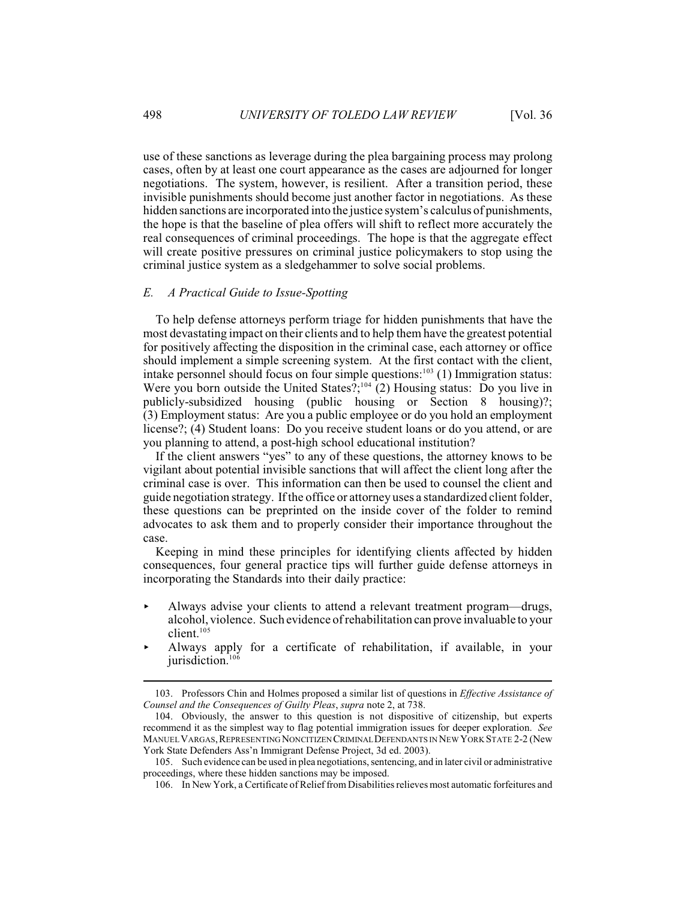use of these sanctions as leverage during the plea bargaining process may prolong cases, often by at least one court appearance as the cases are adjourned for longer negotiations. The system, however, is resilient. After a transition period, these invisible punishments should become just another factor in negotiations. As these hidden sanctions are incorporated into the justice system's calculus of punishments, the hope is that the baseline of plea offers will shift to reflect more accurately the real consequences of criminal proceedings. The hope is that the aggregate effect will create positive pressures on criminal justice policymakers to stop using the criminal justice system as a sledgehammer to solve social problems.

#### *E. A Practical Guide to Issue-Spotting*

To help defense attorneys perform triage for hidden punishments that have the most devastating impact on their clients and to help them have the greatest potential for positively affecting the disposition in the criminal case, each attorney or office should implement a simple screening system. At the first contact with the client, intake personnel should focus on four simple questions:<sup>103</sup> (1) Immigration status: Were you born outside the United States?;<sup>104</sup> (2) Housing status: Do you live in publicly-subsidized housing (public housing or Section 8 housing)?; (3) Employment status: Are you a public employee or do you hold an employment license?; (4) Student loans: Do you receive student loans or do you attend, or are you planning to attend, a post-high school educational institution?

If the client answers "yes" to any of these questions, the attorney knows to be vigilant about potential invisible sanctions that will affect the client long after the criminal case is over. This information can then be used to counsel the client and guide negotiation strategy. If the office or attorney uses a standardized client folder, these questions can be preprinted on the inside cover of the folder to remind advocates to ask them and to properly consider their importance throughout the case.

Keeping in mind these principles for identifying clients affected by hidden consequences, four general practice tips will further guide defense attorneys in incorporating the Standards into their daily practice:

- < Always advise your clients to attend a relevant treatment program—drugs, alcohol, violence. Such evidence of rehabilitation can prove invaluable to your client. 105
- $\blacktriangleright$  Always apply for a certificate of rehabilitation, if available, in your jurisdiction. 106

<sup>103.</sup> Professors Chin and Holmes proposed a similar list of questions in *Effective Assistance of Counsel and the Consequences of Guilty Pleas*, *supra* note 2, at 738.

<sup>104.</sup> Obviously, the answer to this question is not dispositive of citizenship, but experts recommend it as the simplest way to flag potential immigration issues for deeper exploration. *See* MANUEL VARGAS,REPRESENTING NONCITIZEN CRIMINAL DEFENDANTS IN NEW YORK STATE 2-2 (New York State Defenders Ass'n Immigrant Defense Project, 3d ed. 2003).

<sup>105.</sup> Such evidence can be used in plea negotiations, sentencing, and in later civil or administrative proceedings, where these hidden sanctions may be imposed.

<sup>106.</sup> In New York, a Certificate of Relief from Disabilities relieves most automatic forfeitures and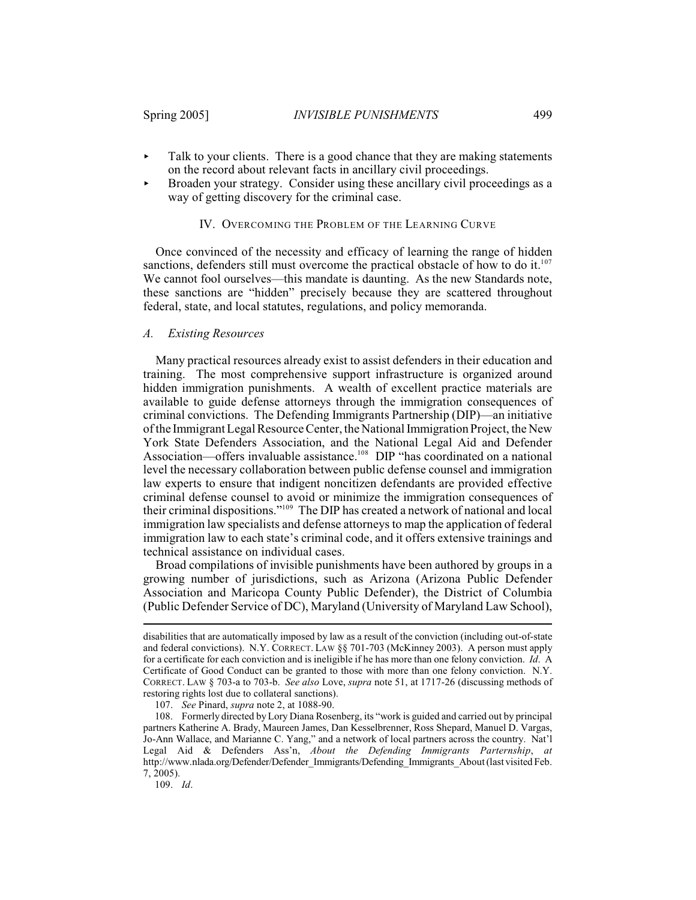- $\blacktriangleright$  Talk to your clients. There is a good chance that they are making statements on the record about relevant facts in ancillary civil proceedings.
- Broaden your strategy. Consider using these ancillary civil proceedings as a way of getting discovery for the criminal case.

#### IV. OVERCOMING THE PROBLEM OF THE LEARNING CURVE

Once convinced of the necessity and efficacy of learning the range of hidden sanctions, defenders still must overcome the practical obstacle of how to do it.<sup>107</sup> We cannot fool ourselves—this mandate is daunting. As the new Standards note, these sanctions are "hidden" precisely because they are scattered throughout federal, state, and local statutes, regulations, and policy memoranda.

#### *A. Existing Resources*

Many practical resources already exist to assist defenders in their education and training. The most comprehensive support infrastructure is organized around hidden immigration punishments. A wealth of excellent practice materials are available to guide defense attorneys through the immigration consequences of criminal convictions. The Defending Immigrants Partnership (DIP)—an initiative of the Immigrant Legal Resource Center, the National Immigration Project, the New York State Defenders Association, and the National Legal Aid and Defender Association—offers invaluable assistance.<sup>108</sup> DIP "has coordinated on a national level the necessary collaboration between public defense counsel and immigration law experts to ensure that indigent noncitizen defendants are provided effective criminal defense counsel to avoid or minimize the immigration consequences of their criminal dispositions."<sup>109</sup> The DIP has created a network of national and local immigration law specialists and defense attorneys to map the application of federal immigration law to each state's criminal code, and it offers extensive trainings and technical assistance on individual cases.

Broad compilations of invisible punishments have been authored by groups in a growing number of jurisdictions, such as Arizona (Arizona Public Defender Association and Maricopa County Public Defender), the District of Columbia (Public Defender Service of DC), Maryland (University of Maryland Law School),

107. *See* Pinard, *supra* note 2, at 1088-90.

109. *Id*.

disabilities that are automatically imposed by law as a result of the conviction (including out-of-state and federal convictions). N.Y. CORRECT. LAW §§ 701-703 (McKinney 2003). A person must apply for a certificate for each conviction and is ineligible if he has more than one felony conviction. *Id*. A Certificate of Good Conduct can be granted to those with more than one felony conviction. N.Y. CORRECT. LAW § 703-a to 703-b. *See also* Love, *supra* note 51, at 1717-26 (discussing methods of restoring rights lost due to collateral sanctions).

<sup>108.</sup> Formerly directed byLory Diana Rosenberg, its "work is guided and carried out by principal partners Katherine A. Brady, Maureen James, Dan Kesselbrenner, Ross Shepard, Manuel D. Vargas, Jo-Ann Wallace, and Marianne C. Yang," and a network of local partners across the country. Nat'l Legal Aid & Defenders Ass'n, *About the Defending Immigrants Parternship*, *at* http://www.nlada.org/Defender/Defender\_Immigrants/Defending\_Immigrants\_About (last visited Feb. 7, 2005).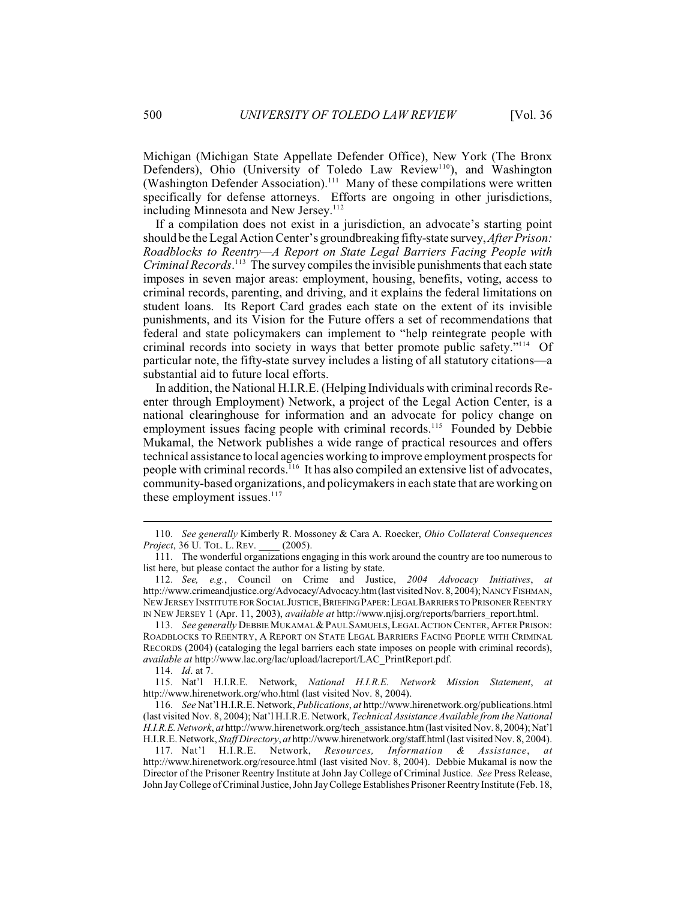Michigan (Michigan State Appellate Defender Office), New York (The Bronx Defenders), Ohio (University of Toledo Law Review<sup>110</sup>), and Washington (Washington Defender Association).<sup> $111$ </sup> Many of these compilations were written specifically for defense attorneys. Efforts are ongoing in other jurisdictions, including Minnesota and New Jersey.<sup>112</sup>

If a compilation does not exist in a jurisdiction, an advocate's starting point should be the Legal Action Center's groundbreaking fifty-state survey, *After Prison: Roadblocks to Reentry—A Report on State Legal Barriers Facing People with Criminal Records*.<sup>113</sup> The survey compiles the invisible punishments that each state imposes in seven major areas: employment, housing, benefits, voting, access to criminal records, parenting, and driving, and it explains the federal limitations on student loans. Its Report Card grades each state on the extent of its invisible punishments, and its Vision for the Future offers a set of recommendations that federal and state policymakers can implement to "help reintegrate people with criminal records into society in ways that better promote public safety. $114$  Of particular note, the fifty-state survey includes a listing of all statutory citations—a substantial aid to future local efforts.

In addition, the National H.I.R.E. (Helping Individuals with criminal records Reenter through Employment) Network, a project of the Legal Action Center, is a national clearinghouse for information and an advocate for policy change on employment issues facing people with criminal records.<sup>115</sup> Founded by Debbie Mukamal, the Network publishes a wide range of practical resources and offers technical assistance to local agencies working to improve employment prospects for people with criminal records.  $16$  It has also compiled an extensive list of advocates, community-based organizations, and policymakers in each state that are working on these employment issues. $117$ 

114. *Id*. at 7.

115. Nat'l H.I.R.E. Network, *National H.I.R.E. Network Mission Statement*, *at* http://www.hirenetwork.org/who.html (last visited Nov. 8, 2004).

116. *See* Nat'l H.I.R.E. Network, *Publications*, *at* http://www.hirenetwork.org/publications.html (last visited Nov. 8, 2004); Nat'l H.I.R.E. Network, *Technical Assistance Available from the National H.I.R.E. Network*, *at* http://www.hirenetwork.org/tech\_assistance.htm (last visited Nov. 8, 2004); Nat'l H.I.R.E. Network, *Staff Directory*, *at* http://www.hirenetwork.org/staff.html (last visited Nov. 8, 2004).

<sup>110.</sup> *See generally* Kimberly R. Mossoney & Cara A. Roecker, *Ohio Collateral Consequences Project*, 36 U. TOL. L. REV.

<sup>111.</sup> The wonderful organizations engaging in this work around the country are too numerous to list here, but please contact the author for a listing by state.

<sup>112.</sup> *See, e.g.*, Council on Crime and Justice, *2004 Advocacy Initiatives*, *at* http://www.crimeandjustice.org/Advocacy/Advocacy.htm (last visited Nov. 8, 2004); NANCYFISHMAN, NEW JERSEY INSTITUTE FOR SOCIAL JUSTICE,BRIEFING PAPER:LEGAL BARRIERS TO PRISONER REENTRY IN NEW JERSEY 1 (Apr. 11, 2003), *available at* http://www.njisj.org/reports/barriers\_report.html.

<sup>113.</sup> See generally DEBBIE MUKAMAL & PAUL SAMUELS, LEGAL ACTION CENTER, AFTER PRISON: ROADBLOCKS TO REENTRY, A REPORT ON STATE LEGAL BARRIERS FACING PEOPLE WITH CRIMINAL RECORDS (2004) (cataloging the legal barriers each state imposes on people with criminal records), *available at* http://www.lac.org/lac/upload/lacreport/LAC\_PrintReport.pdf.

<sup>117.</sup> Nat'l H.I.R.E. Network, *Resources, Information & Assistance*, *at* http://www.hirenetwork.org/resource.html (last visited Nov. 8, 2004). Debbie Mukamal is now the Director of the Prisoner Reentry Institute at John Jay College of Criminal Justice. *See* Press Release, John Jay College of Criminal Justice, John Jay College Establishes Prisoner Reentry Institute (Feb. 18,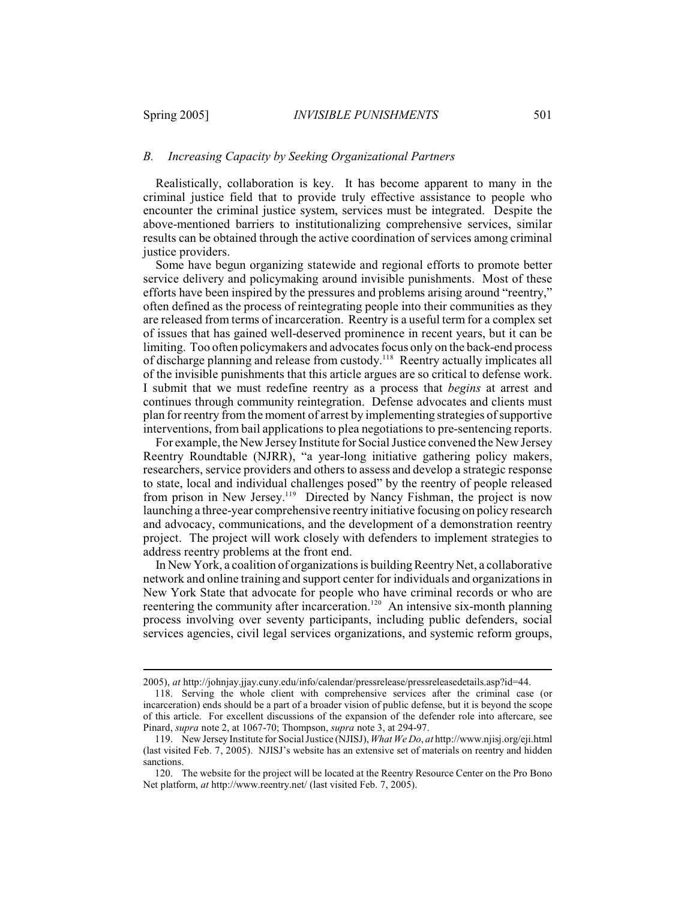## *B. Increasing Capacity by Seeking Organizational Partners*

Realistically, collaboration is key. It has become apparent to many in the criminal justice field that to provide truly effective assistance to people who encounter the criminal justice system, services must be integrated. Despite the above-mentioned barriers to institutionalizing comprehensive services, similar results can be obtained through the active coordination of services among criminal justice providers.

Some have begun organizing statewide and regional efforts to promote better service delivery and policymaking around invisible punishments. Most of these efforts have been inspired by the pressures and problems arising around "reentry," often defined as the process of reintegrating people into their communities as they are released from terms of incarceration. Reentry is a useful term for a complex set of issues that has gained well-deserved prominence in recent years, but it can be limiting. Too often policymakers and advocates focus only on the back-end process of discharge planning and release from custody.<sup>118</sup> Reentry actually implicates all of the invisible punishments that this article argues are so critical to defense work. I submit that we must redefine reentry as a process that *begins* at arrest and continues through community reintegration. Defense advocates and clients must plan for reentry from the moment of arrest by implementing strategies of supportive interventions, from bail applications to plea negotiations to pre-sentencing reports.

For example, the New Jersey Institute for Social Justice convened the New Jersey Reentry Roundtable (NJRR), "a year-long initiative gathering policy makers, researchers, service providers and others to assess and develop a strategic response to state, local and individual challenges posed" by the reentry of people released from prison in New Jersey.<sup>119</sup> Directed by Nancy Fishman, the project is now launching a three-year comprehensive reentry initiative focusing on policy research and advocacy, communications, and the development of a demonstration reentry project. The project will work closely with defenders to implement strategies to address reentry problems at the front end.

In New York, a coalition of organizations is building Reentry Net, a collaborative network and online training and support center for individuals and organizations in New York State that advocate for people who have criminal records or who are reentering the community after incarceration.<sup>120</sup> An intensive six-month planning process involving over seventy participants, including public defenders, social services agencies, civil legal services organizations, and systemic reform groups,

<sup>2005),</sup> *at* http://johnjay.jjay.cuny.edu/info/calendar/pressrelease/pressreleasedetails.asp?id=44.

<sup>118.</sup> Serving the whole client with comprehensive services after the criminal case (or incarceration) ends should be a part of a broader vision of public defense, but it is beyond the scope of this article. For excellent discussions of the expansion of the defender role into aftercare, see Pinard, *supra* note 2, at 1067-70; Thompson, *supra* note 3, at 294-97.

<sup>119.</sup> New Jersey Institute for Social Justice (NJISJ), *What We Do*, *at* http://www.njisj.org/eji.html (last visited Feb. 7, 2005). NJISJ's website has an extensive set of materials on reentry and hidden sanctions.

<sup>120.</sup> The website for the project will be located at the Reentry Resource Center on the Pro Bono Net platform, *at* http://www.reentry.net/ (last visited Feb. 7, 2005).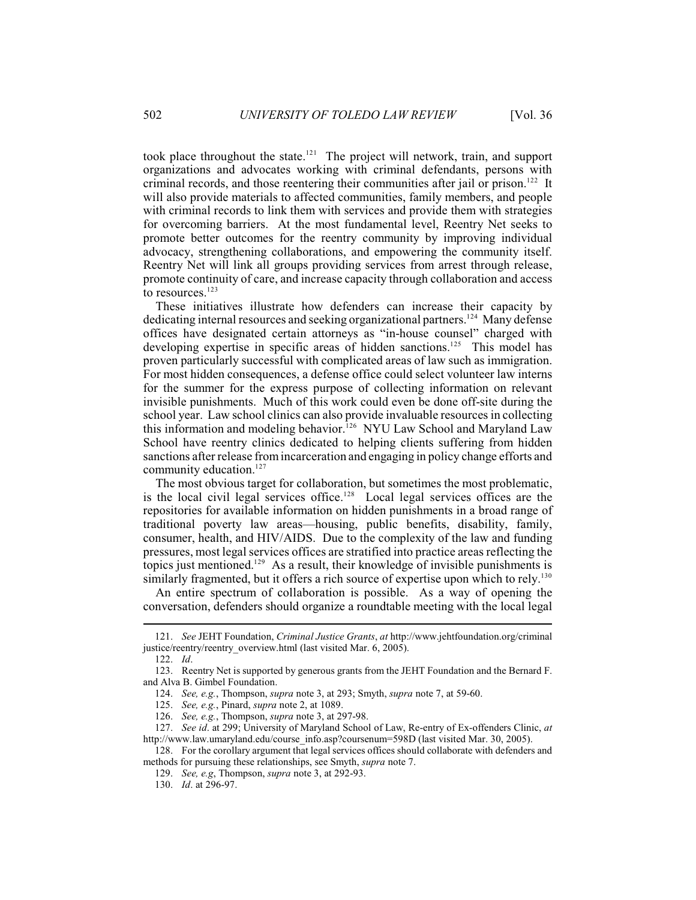took place throughout the state.<sup> $121$ </sup> The project will network, train, and support organizations and advocates working with criminal defendants, persons with criminal records, and those reentering their communities after jail or prison.<sup>122</sup> It will also provide materials to affected communities, family members, and people with criminal records to link them with services and provide them with strategies for overcoming barriers. At the most fundamental level, Reentry Net seeks to promote better outcomes for the reentry community by improving individual advocacy, strengthening collaborations, and empowering the community itself. Reentry Net will link all groups providing services from arrest through release, promote continuity of care, and increase capacity through collaboration and access to resources.<sup>123</sup>

These initiatives illustrate how defenders can increase their capacity by dedicating internal resources and seeking organizational partners.<sup>124</sup> Many defense offices have designated certain attorneys as "in-house counsel" charged with developing expertise in specific areas of hidden sanctions.<sup>125</sup> This model has proven particularly successful with complicated areas of law such as immigration. For most hidden consequences, a defense office could select volunteer law interns for the summer for the express purpose of collecting information on relevant invisible punishments. Much of this work could even be done off-site during the school year. Law school clinics can also provide invaluable resources in collecting this information and modeling behavior.<sup>126</sup> NYU Law School and Maryland Law School have reentry clinics dedicated to helping clients suffering from hidden sanctions after release fromincarceration and engaging in policy change efforts and community education.<sup>127</sup>

The most obvious target for collaboration, but sometimes the most problematic, is the local civil legal services office.<sup>128</sup> Local legal services offices are the repositories for available information on hidden punishments in a broad range of traditional poverty law areas—housing, public benefits, disability, family, consumer, health, and HIV/AIDS. Due to the complexity of the law and funding pressures, most legal services offices are stratified into practice areas reflecting the topics just mentioned.<sup>129</sup> As a result, their knowledge of invisible punishments is similarly fragmented, but it offers a rich source of expertise upon which to rely.<sup>130</sup>

An entire spectrum of collaboration is possible. As a way of opening the conversation, defenders should organize a roundtable meeting with the local legal

<sup>121.</sup> *See* JEHT Foundation, *Criminal Justice Grants*, *at* http://www.jehtfoundation.org/criminal justice/reentry/reentry\_overview.html (last visited Mar. 6, 2005).

<sup>122.</sup> *Id*.

<sup>123.</sup> Reentry Net is supported by generous grants from the JEHT Foundation and the Bernard F. and Alva B. Gimbel Foundation.

<sup>124.</sup> *See, e.g.*, Thompson, *supra* note 3, at 293; Smyth, *supra* note 7, at 59-60.

<sup>125.</sup> *See, e.g.*, Pinard, *supra* note 2, at 1089.

<sup>126.</sup> *See, e.g.*, Thompson, *supra* note 3, at 297-98.

<sup>127.</sup> *See id*. at 299; University of Maryland School of Law, Re-entry of Ex-offenders Clinic, *at* http://www.law.umaryland.edu/course\_info.asp?coursenum=598D (last visited Mar. 30, 2005).

<sup>128.</sup> For the corollary argument that legal services offices should collaborate with defenders and methods for pursuing these relationships, see Smyth, *supra* note 7.

<sup>129.</sup> *See, e.g*, Thompson, *supra* note 3, at 292-93.

<sup>130.</sup> *Id*. at 296-97.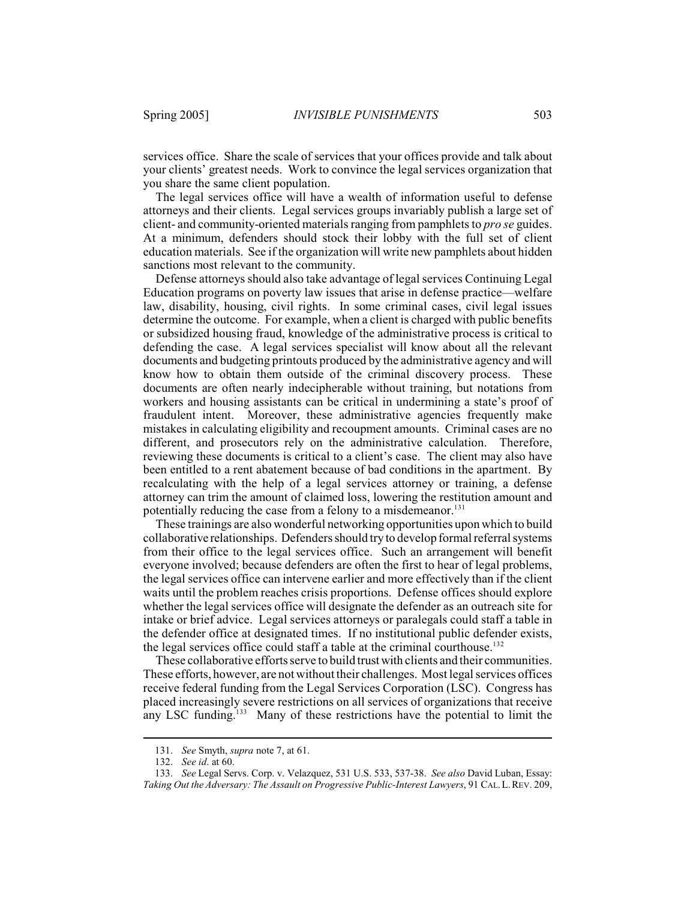services office. Share the scale of services that your offices provide and talk about your clients' greatest needs. Work to convince the legal services organization that you share the same client population.

The legal services office will have a wealth of information useful to defense attorneys and their clients. Legal services groups invariably publish a large set of client- and community-oriented materials ranging from pamphlets to *pro se* guides. At a minimum, defenders should stock their lobby with the full set of client education materials. See if the organization will write new pamphlets about hidden sanctions most relevant to the community.

Defense attorneys should also take advantage of legal services Continuing Legal Education programs on poverty law issues that arise in defense practice—welfare law, disability, housing, civil rights. In some criminal cases, civil legal issues determine the outcome. For example, when a client is charged with public benefits or subsidized housing fraud, knowledge of the administrative process is critical to defending the case. A legal services specialist will know about all the relevant documents and budgeting printouts produced by the administrative agency and will know how to obtain them outside of the criminal discovery process. These documents are often nearly indecipherable without training, but notations from workers and housing assistants can be critical in undermining a state's proof of fraudulent intent. Moreover, these administrative agencies frequently make mistakes in calculating eligibility and recoupment amounts. Criminal cases are no different, and prosecutors rely on the administrative calculation. Therefore, reviewing these documents is critical to a client's case. The client may also have been entitled to a rent abatement because of bad conditions in the apartment. By recalculating with the help of a legal services attorney or training, a defense attorney can trim the amount of claimed loss, lowering the restitution amount and potentially reducing the case from a felony to a misdemeanor.<sup>131</sup>

These trainings are also wonderful networking opportunities upon which to build collaborative relationships. Defenders should try to develop formal referral systems from their office to the legal services office. Such an arrangement will benefit everyone involved; because defenders are often the first to hear of legal problems, the legal services office can intervene earlier and more effectively than if the client waits until the problem reaches crisis proportions. Defense offices should explore whether the legal services office will designate the defender as an outreach site for intake or brief advice. Legal services attorneys or paralegals could staff a table in the defender office at designated times. If no institutional public defender exists, the legal services office could staff a table at the criminal courthouse.<sup>132</sup>

These collaborative efforts serve to build trust with clients and their communities. These efforts, however, are not without their challenges. Most legal services offices receive federal funding from the Legal Services Corporation (LSC). Congress has placed increasingly severe restrictions on all services of organizations that receive any LSC funding. $133$  Many of these restrictions have the potential to limit the

<sup>131.</sup> *See* Smyth, *supra* note 7, at 61.

<sup>132.</sup> *See id*. at 60.

<sup>133.</sup> *See* Legal Servs. Corp. v. Velazquez, 531 U.S. 533, 537-38. *See also* David Luban, Essay: *Taking Out the Adversary: The Assault on Progressive Public-Interest Lawyers*, 91 CAL.L.REV. 209,